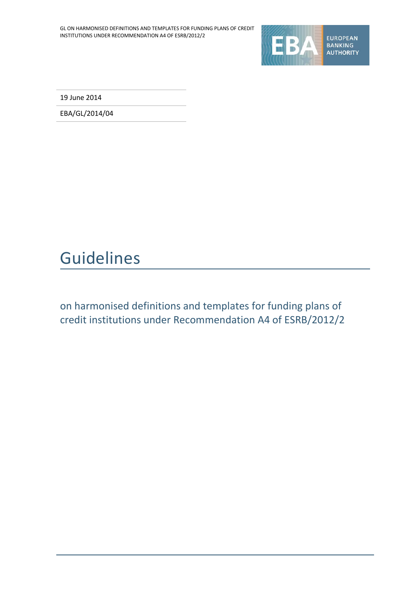

19 June 2014

EBA/GL/2014/04

## Guidelines

on harmonised definitions and templates for funding plans of credit institutions under Recommendation A4 of ESRB/2012/2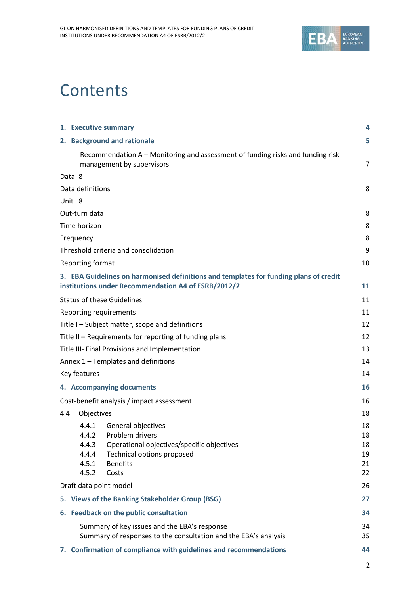

## **Contents**

| 1. Executive summary                                                                                                                         | 4        |
|----------------------------------------------------------------------------------------------------------------------------------------------|----------|
| 2. Background and rationale                                                                                                                  | 5        |
| Recommendation A – Monitoring and assessment of funding risks and funding risk<br>management by supervisors                                  | 7        |
| Data 8                                                                                                                                       |          |
| Data definitions                                                                                                                             | 8        |
| Unit <sub>8</sub>                                                                                                                            |          |
| Out-turn data                                                                                                                                | 8        |
| Time horizon                                                                                                                                 | 8        |
| Frequency                                                                                                                                    | 8        |
| Threshold criteria and consolidation                                                                                                         | 9        |
| Reporting format                                                                                                                             | 10       |
| 3. EBA Guidelines on harmonised definitions and templates for funding plans of credit<br>institutions under Recommendation A4 of ESRB/2012/2 | 11       |
| <b>Status of these Guidelines</b>                                                                                                            | 11       |
| Reporting requirements                                                                                                                       | 11       |
| Title I - Subject matter, scope and definitions                                                                                              | 12       |
| Title II - Requirements for reporting of funding plans                                                                                       | 12       |
| Title III- Final Provisions and Implementation                                                                                               | 13       |
| Annex 1 - Templates and definitions                                                                                                          | 14       |
| Key features                                                                                                                                 | 14       |
| 4. Accompanying documents                                                                                                                    | 16       |
| Cost-benefit analysis / impact assessment                                                                                                    | 16       |
| 4.4<br>Objectives                                                                                                                            | 18       |
| General objectives<br>4.4.1                                                                                                                  | 18       |
| 4.4.2 Problem drivers                                                                                                                        | 18       |
| 4.4.3<br>Operational objectives/specific objectives                                                                                          | 18       |
| Technical options proposed<br>4.4.4<br>4.5.1<br><b>Benefits</b>                                                                              | 19<br>21 |
| 4.5.2<br>Costs                                                                                                                               | 22       |
| Draft data point model                                                                                                                       | 26       |
| 5. Views of the Banking Stakeholder Group (BSG)                                                                                              | 27       |
| 6. Feedback on the public consultation                                                                                                       | 34       |
| Summary of key issues and the EBA's response                                                                                                 | 34       |
| Summary of responses to the consultation and the EBA's analysis                                                                              | 35       |
| 7. Confirmation of compliance with guidelines and recommendations                                                                            | 44       |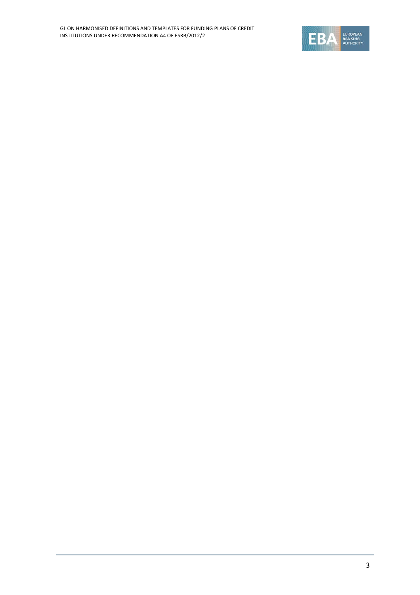

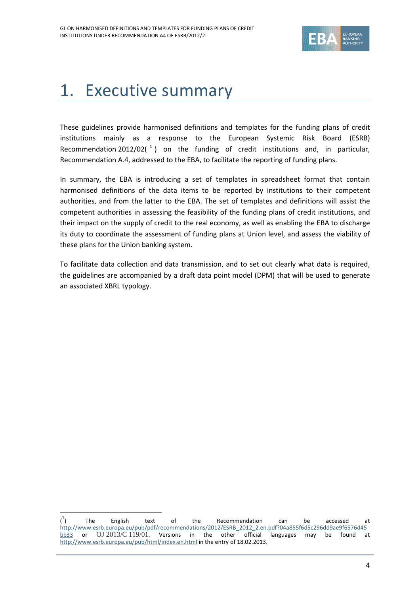

## 1. Executive summary

These guidelines provide harmonised definitions and templates for the funding plans of credit institutions mainly as a response to the European Systemic Risk Board (ESRB) Recommendation 20[1](#page-3-0)2/02( $^1$ ) on the funding of credit institutions and, in particular, Recommendation A.4, addressed to the EBA, to facilitate the reporting of funding plans.

In summary, the EBA is introducing a set of templates in spreadsheet format that contain harmonised definitions of the data items to be reported by institutions to their competent authorities, and from the latter to the EBA. The set of templates and definitions will assist the competent authorities in assessing the feasibility of the funding plans of credit institutions, and their impact on the supply of credit to the real economy, as well as enabling the EBA to discharge its duty to coordinate the assessment of funding plans at Union level, and assess the viability of these plans for the Union banking system.

To facilitate data collection and data transmission, and to set out clearly what data is required, the guidelines are accompanied by a draft data point model (DPM) that will be used to generate an associated XBRL typology.

 $\overline{a}$ 

<span id="page-3-0"></span> $\binom{1}{1}$ ) The English text of the Recommendation can be accessed at [http://www.esrb.europa.eu/pub/pdf/recommendations/2012/ESRB\\_2012\\_2.en.pdf?04a855f6d5c296dd9ae9f6576d45](http://www.esrb.europa.eu/pub/pdf/recommendations/2012/ESRB_2012_2.en.pdf?04a855f6d5c296dd9ae9f6576d45bb33) [bb33](http://www.esrb.europa.eu/pub/pdf/recommendations/2012/ESRB_2012_2.en.pdf?04a855f6d5c296dd9ae9f6576d45bb33) or OJ 2013/C 119/01. Versions in the other official languages may be found at <http://www.esrb.europa.eu/pub/html/index.en.html> in the entry of 18.02.2013.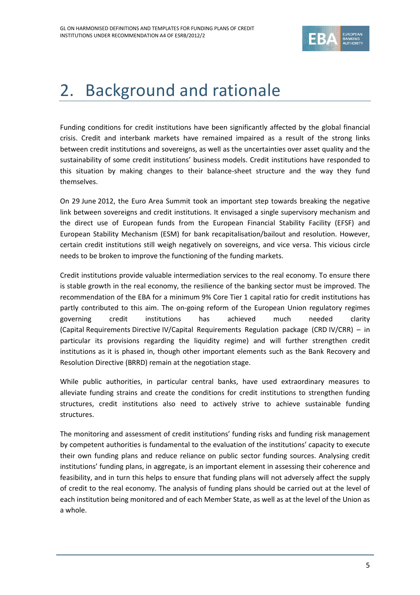

## 2. Background and rationale

Funding conditions for credit institutions have been significantly affected by the global financial crisis. Credit and interbank markets have remained impaired as a result of the strong links between credit institutions and sovereigns, as well as the uncertainties over asset quality and the sustainability of some credit institutions' business models. Credit institutions have responded to this situation by making changes to their balance-sheet structure and the way they fund themselves.

On 29 June 2012, the Euro Area Summit took an important step towards breaking the negative link between sovereigns and credit institutions. It envisaged a single supervisory mechanism and the direct use of European funds from the European Financial Stability Facility (EFSF) and European Stability Mechanism (ESM) for bank recapitalisation/bailout and resolution. However, certain credit institutions still weigh negatively on sovereigns, and vice versa. This vicious circle needs to be broken to improve the functioning of the funding markets.

Credit institutions provide valuable intermediation services to the real economy. To ensure there is stable growth in the real economy, the resilience of the banking sector must be improved. The recommendation of the EBA for a minimum 9% Core Tier 1 capital ratio for credit institutions has partly contributed to this aim. The on-going reform of the European Union regulatory regimes governing credit institutions has achieved much needed clarity (Capital Requirements Directive IV/Capital Requirements Regulation package (CRD IV/CRR) – in particular its provisions regarding the liquidity regime) and will further strengthen credit institutions as it is phased in, though other important elements such as the Bank Recovery and Resolution Directive (BRRD) remain at the negotiation stage.

While public authorities, in particular central banks, have used extraordinary measures to alleviate funding strains and create the conditions for credit institutions to strengthen funding structures, credit institutions also need to actively strive to achieve sustainable funding structures.

The monitoring and assessment of credit institutions' funding risks and funding risk management by competent authorities is fundamental to the evaluation of the institutions' capacity to execute their own funding plans and reduce reliance on public sector funding sources. Analysing credit institutions' funding plans, in aggregate, is an important element in assessing their coherence and feasibility, and in turn this helps to ensure that funding plans will not adversely affect the supply of credit to the real economy. The analysis of funding plans should be carried out at the level of each institution being monitored and of each Member State, as well as at the level of the Union as a whole.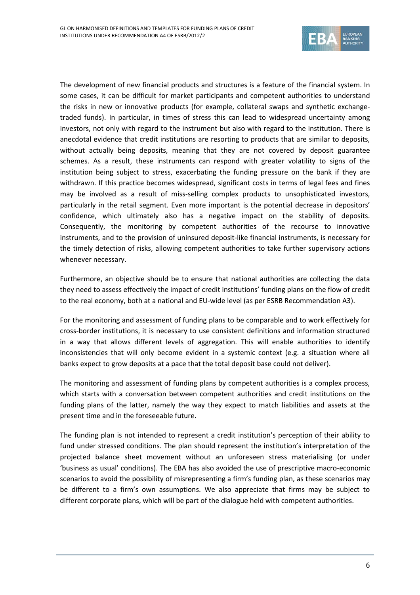

The development of new financial products and structures is a feature of the financial system. In some cases, it can be difficult for market participants and competent authorities to understand the risks in new or innovative products (for example, collateral swaps and synthetic exchangetraded funds). In particular, in times of stress this can lead to widespread uncertainty among investors, not only with regard to the instrument but also with regard to the institution. There is anecdotal evidence that credit institutions are resorting to products that are similar to deposits, without actually being deposits, meaning that they are not covered by deposit guarantee schemes. As a result, these instruments can respond with greater volatility to signs of the institution being subject to stress, exacerbating the funding pressure on the bank if they are withdrawn. If this practice becomes widespread, significant costs in terms of legal fees and fines may be involved as a result of miss-selling complex products to unsophisticated investors, particularly in the retail segment. Even more important is the potential decrease in depositors' confidence, which ultimately also has a negative impact on the stability of deposits. Consequently, the monitoring by competent authorities of the recourse to innovative instruments, and to the provision of uninsured deposit-like financial instruments, is necessary for the timely detection of risks, allowing competent authorities to take further supervisory actions whenever necessary.

Furthermore, an objective should be to ensure that national authorities are collecting the data they need to assess effectively the impact of credit institutions' funding plans on the flow of credit to the real economy, both at a national and EU-wide level (as per ESRB Recommendation A3).

For the monitoring and assessment of funding plans to be comparable and to work effectively for cross-border institutions, it is necessary to use consistent definitions and information structured in a way that allows different levels of aggregation. This will enable authorities to identify inconsistencies that will only become evident in a systemic context (e.g. a situation where all banks expect to grow deposits at a pace that the total deposit base could not deliver).

The monitoring and assessment of funding plans by competent authorities is a complex process, which starts with a conversation between competent authorities and credit institutions on the funding plans of the latter, namely the way they expect to match liabilities and assets at the present time and in the foreseeable future.

The funding plan is not intended to represent a credit institution's perception of their ability to fund under stressed conditions. The plan should represent the institution's interpretation of the projected balance sheet movement without an unforeseen stress materialising (or under 'business as usual' conditions). The EBA has also avoided the use of prescriptive macro-economic scenarios to avoid the possibility of misrepresenting a firm's funding plan, as these scenarios may be different to a firm's own assumptions. We also appreciate that firms may be subject to different corporate plans, which will be part of the dialogue held with competent authorities.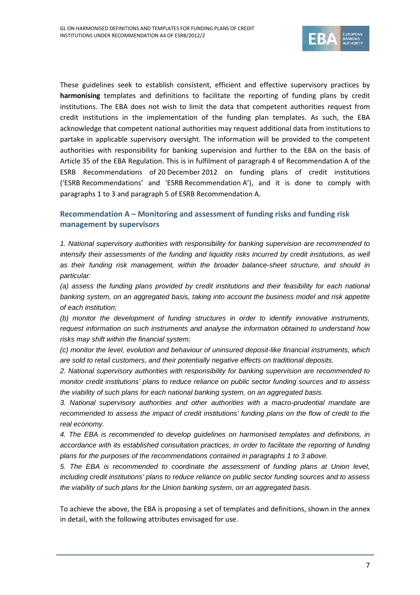

These guidelines seek to establish consistent, efficient and effective supervisory practices by **harmonising** templates and definitions to facilitate the reporting of funding plans by credit institutions. The EBA does not wish to limit the data that competent authorities request from credit institutions in the implementation of the funding plan templates. As such, the EBA acknowledge that competent national authorities may request additional data from institutions to partake in applicable supervisory oversight. The information will be provided to the competent authorities with responsibility for banking supervision and further to the EBA on the basis of Article 35 of the EBA Regulation. This is in fulfilment of paragraph 4 of Recommendation A of the ESRB Recommendations of 20 December 2012 on funding plans of credit institutions ('ESRB Recommendations' and 'ESRB Recommendation A'), and it is done to comply with paragraphs 1 to 3 and paragraph 5 of ESRB Recommendation A.

### **Recommendation A – Monitoring and assessment of funding risks and funding risk management by supervisors**

*1. National supervisory authorities with responsibility for banking supervision are recommended to intensify their assessments of the funding and liquidity risks incurred by credit institutions, as well as their funding risk management, within the broader balance-sheet structure, and should in particular:* 

*(a) assess the funding plans provided by credit institutions and their feasibility for each national*  banking system, on an aggregated basis, taking into account the business model and risk appetite *of each institution;* 

*(b) monitor the development of funding structures in order to identify innovative instruments, request information on such instruments and analyse the information obtained to understand how risks may shift within the financial system;* 

*(c) monitor the level, evolution and behaviour of uninsured deposit-like financial instruments, which are sold to retail customers, and their potentially negative effects on traditional deposits.*

*2. National supervisory authorities with responsibility for banking supervision are recommended to monitor credit institutions' plans to reduce reliance on public sector funding sources and to assess the viability of such plans for each national banking system, on an aggregated basis.* 

*3. National supervisory authorities and other authorities with a macro-prudential mandate are*  recommended to assess the impact of credit institutions' funding plans on the flow of credit to the *real economy.* 

*4. The EBA is recommended to develop guidelines on harmonised templates and definitions, in accordance with its established consultation practices, in order to facilitate the reporting of funding plans for the purposes of the recommendations contained in paragraphs 1 to 3 above.* 

*5. The EBA is recommended to coordinate the assessment of funding plans at Union level, including credit institutions' plans to reduce reliance on public sector funding sources and to assess the viability of such plans for the Union banking system, on an aggregated basis.* 

To achieve the above, the EBA is proposing a set of templates and definitions, shown in the annex in detail, with the following attributes envisaged for use.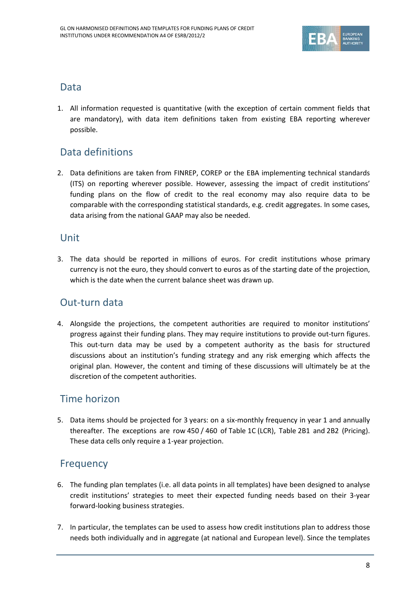

### Data

1. All information requested is quantitative (with the exception of certain comment fields that are mandatory), with data item definitions taken from existing EBA reporting wherever possible.

### Data definitions

2. Data definitions are taken from FINREP, COREP or the EBA implementing technical standards (ITS) on reporting wherever possible. However, assessing the impact of credit institutions' funding plans on the flow of credit to the real economy may also require data to be comparable with the corresponding statistical standards, e.g. credit aggregates. In some cases, data arising from the national GAAP may also be needed.

### Unit

3. The data should be reported in millions of euros. For credit institutions whose primary currency is not the euro, they should convert to euros as of the starting date of the projection, which is the date when the current balance sheet was drawn up.

### Out-turn data

4. Alongside the projections, the competent authorities are required to monitor institutions' progress against their funding plans. They may require institutions to provide out-turn figures. This out-turn data may be used by a competent authority as the basis for structured discussions about an institution's funding strategy and any risk emerging which affects the original plan. However, the content and timing of these discussions will ultimately be at the discretion of the competent authorities.

### Time horizon

5. Data items should be projected for 3 years: on a six-monthly frequency in year 1 and annually thereafter. The exceptions are row 450 / 460 of Table 1C (LCR), Table 2B1 and 2B2 (Pricing). These data cells only require a 1-year projection.

### Frequency

- 6. The funding plan templates (i.e. all data points in all templates) have been designed to analyse credit institutions' strategies to meet their expected funding needs based on their 3-year forward-looking business strategies.
- 7. In particular, the templates can be used to assess how credit institutions plan to address those needs both individually and in aggregate (at national and European level). Since the templates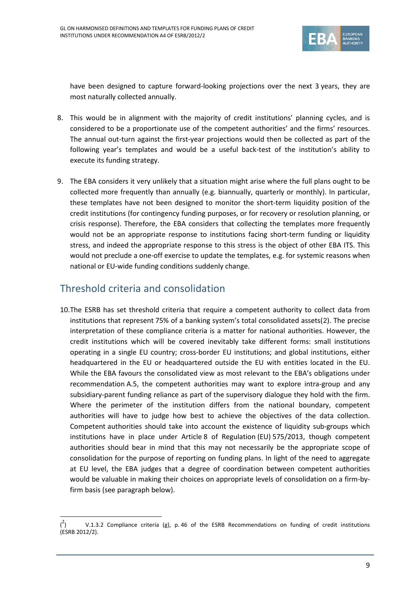

have been designed to capture forward-looking projections over the next 3 years, they are most naturally collected annually.

- 8. This would be in alignment with the majority of credit institutions' planning cycles, and is considered to be a proportionate use of the competent authorities' and the firms' resources. The annual out-turn against the first-year projections would then be collected as part of the following year's templates and would be a useful back-test of the institution's ability to execute its funding strategy.
- 9. The EBA considers it very unlikely that a situation might arise where the full plans ought to be collected more frequently than annually (e.g. biannually, quarterly or monthly). In particular, these templates have not been designed to monitor the short-term liquidity position of the credit institutions (for contingency funding purposes, or for recovery or resolution planning, or crisis response). Therefore, the EBA considers that collecting the templates more frequently would not be an appropriate response to institutions facing short-term funding or liquidity stress, and indeed the appropriate response to this stress is the object of other EBA ITS. This would not preclude a one-off exercise to update the templates, e.g. for systemic reasons when national or EU-wide funding conditions suddenly change.

### Threshold criteria and consolidation

 $\overline{a}$ 

10.The ESRB has set threshold criteria that require a competent authority to collect data from institutions that represent 75% of a banking system's total consolidated assets([2](#page-8-0)). The precise interpretation of these compliance criteria is a matter for national authorities. However, the credit institutions which will be covered inevitably take different forms: small institutions operating in a single EU country; cross-border EU institutions; and global institutions, either headquartered in the EU or headquartered outside the EU with entities located in the EU. While the EBA favours the consolidated view as most relevant to the EBA's obligations under recommendation A.5, the competent authorities may want to explore intra-group and any subsidiary-parent funding reliance as part of the supervisory dialogue they hold with the firm. Where the perimeter of the institution differs from the national boundary, competent authorities will have to judge how best to achieve the objectives of the data collection. Competent authorities should take into account the existence of liquidity sub-groups which institutions have in place under Article 8 of Regulation (EU) 575/2013, though competent authorities should bear in mind that this may not necessarily be the appropriate scope of consolidation for the purpose of reporting on funding plans. In light of the need to aggregate at EU level, the EBA judges that a degree of coordination between competent authorities would be valuable in making their choices on appropriate levels of consolidation on a firm-byfirm basis (see paragraph below).

<span id="page-8-0"></span> $($ <sup>2</sup> ) V.1.3.2 Compliance criteria (g), p. 46 of the ESRB Recommendations on funding of credit institutions (ESRB 2012/2).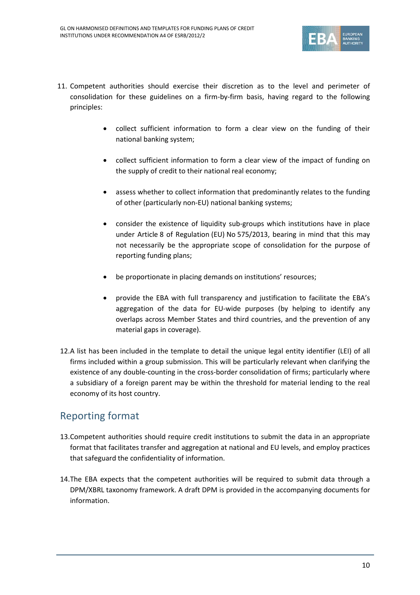

- 11. Competent authorities should exercise their discretion as to the level and perimeter of consolidation for these guidelines on a firm-by-firm basis, having regard to the following principles:
	- collect sufficient information to form a clear view on the funding of their national banking system;
	- collect sufficient information to form a clear view of the impact of funding on the supply of credit to their national real economy;
	- assess whether to collect information that predominantly relates to the funding of other (particularly non-EU) national banking systems;
	- consider the existence of liquidity sub-groups which institutions have in place under Article 8 of Regulation (EU) No 575/2013, bearing in mind that this may not necessarily be the appropriate scope of consolidation for the purpose of reporting funding plans;
	- be proportionate in placing demands on institutions' resources;
	- provide the EBA with full transparency and justification to facilitate the EBA's aggregation of the data for EU-wide purposes (by helping to identify any overlaps across Member States and third countries, and the prevention of any material gaps in coverage).
- 12.A list has been included in the template to detail the unique legal entity identifier (LEI) of all firms included within a group submission. This will be particularly relevant when clarifying the existence of any double-counting in the cross-border consolidation of firms; particularly where a subsidiary of a foreign parent may be within the threshold for material lending to the real economy of its host country.

### Reporting format

- 13.Competent authorities should require credit institutions to submit the data in an appropriate format that facilitates transfer and aggregation at national and EU levels, and employ practices that safeguard the confidentiality of information.
- 14.The EBA expects that the competent authorities will be required to submit data through a DPM/XBRL taxonomy framework. A draft DPM is provided in the accompanying documents for information.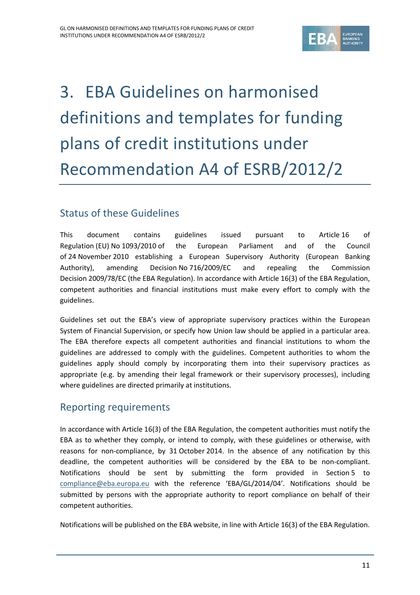

# 3. EBA Guidelines on harmonised definitions and templates for funding plans of credit institutions under Recommendation A4 of ESRB/2012/2

### Status of these Guidelines

This document contains guidelines issued pursuant to Article 16 of Regulation (EU) No 1093/2010 of the European Parliament and of the Council of 24 November 2010 establishing a European Supervisory Authority (European Banking Authority), amending Decision No 716/2009/EC and repealing the Commission Decision 2009/78/EC (the EBA Regulation). In accordance with Article 16(3) of the EBA Regulation, competent authorities and financial institutions must make every effort to comply with the guidelines.

Guidelines set out the EBA's view of appropriate supervisory practices within the European System of Financial Supervision, or specify how Union law should be applied in a particular area. The EBA therefore expects all competent authorities and financial institutions to whom the guidelines are addressed to comply with the guidelines. Competent authorities to whom the guidelines apply should comply by incorporating them into their supervisory practices as appropriate (e.g. by amending their legal framework or their supervisory processes), including where guidelines are directed primarily at institutions.

### Reporting requirements

In accordance with Article 16(3) of the EBA Regulation, the competent authorities must notify the EBA as to whether they comply, or intend to comply, with these guidelines or otherwise, with reasons for non-compliance, by 31 October 2014. In the absence of any notification by this deadline, the competent authorities will be considered by the EBA to be non-compliant. Notifications should be sent by submitting the form provided in Section 5 to [compliance@eba.europa.eu](mailto:compliance@eba.europa.eu) with the reference 'EBA/GL/2014/04'. Notifications should be submitted by persons with the appropriate authority to report compliance on behalf of their competent authorities.

Notifications will be published on the EBA website, in line with Article 16(3) of the EBA Regulation.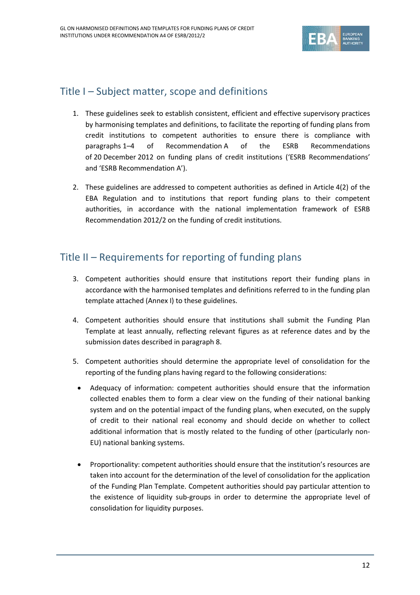

### Title I – Subject matter, scope and definitions

- 1. These guidelines seek to establish consistent, efficient and effective supervisory practices by harmonising templates and definitions, to facilitate the reporting of funding plans from credit institutions to competent authorities to ensure there is compliance with paragraphs 1–4 of Recommendation A of the ESRB Recommendations of 20 December 2012 on funding plans of credit institutions ('ESRB Recommendations' and 'ESRB Recommendation A').
- 2. These guidelines are addressed to competent authorities as defined in Article 4(2) of the EBA Regulation and to institutions that report funding plans to their competent authorities, in accordance with the national implementation framework of ESRB Recommendation 2012/2 on the funding of credit institutions.

### Title II – Requirements for reporting of funding plans

- 3. Competent authorities should ensure that institutions report their funding plans in accordance with the harmonised templates and definitions referred to in the funding plan template attached (Annex I) to these guidelines.
- 4. Competent authorities should ensure that institutions shall submit the Funding Plan Template at least annually, reflecting relevant figures as at reference dates and by the submission dates described in paragraph 8.
- 5. Competent authorities should determine the appropriate level of consolidation for the reporting of the funding plans having regard to the following considerations:
	- Adequacy of information: competent authorities should ensure that the information collected enables them to form a clear view on the funding of their national banking system and on the potential impact of the funding plans, when executed, on the supply of credit to their national real economy and should decide on whether to collect additional information that is mostly related to the funding of other (particularly non-EU) national banking systems.
	- Proportionality: competent authorities should ensure that the institution's resources are taken into account for the determination of the level of consolidation for the application of the Funding Plan Template. Competent authorities should pay particular attention to the existence of liquidity sub-groups in order to determine the appropriate level of consolidation for liquidity purposes.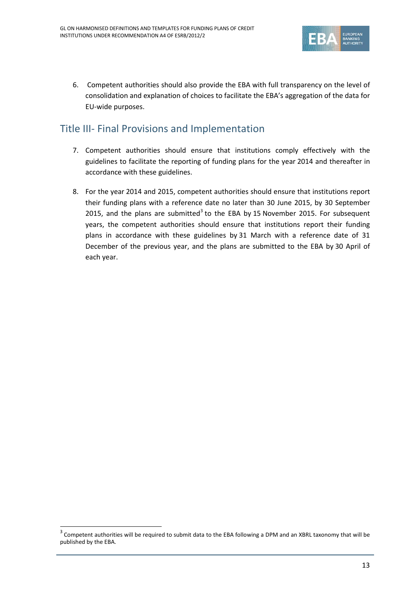

6. Competent authorities should also provide the EBA with full transparency on the level of consolidation and explanation of choices to facilitate the EBA's aggregation of the data for EU-wide purposes.

### Title III- Final Provisions and Implementation

- 7. Competent authorities should ensure that institutions comply effectively with the guidelines to facilitate the reporting of funding plans for the year 2014 and thereafter in accordance with these guidelines.
- 8. For the year 2014 and 2015, competent authorities should ensure that institutions report their funding plans with a reference date no later than 30 June 2015, by 30 September 2015, and the plans are submitted<sup>[3](#page-12-0)</sup> to the EBA by 15 November 2015. For subsequent years, the competent authorities should ensure that institutions report their funding plans in accordance with these guidelines by 31 March with a reference date of 31 December of the previous year, and the plans are submitted to the EBA by 30 April of each year.

 $\overline{a}$ 

<span id="page-12-0"></span> $3$  Competent authorities will be required to submit data to the EBA following a DPM and an XBRL taxonomy that will be published by the EBA.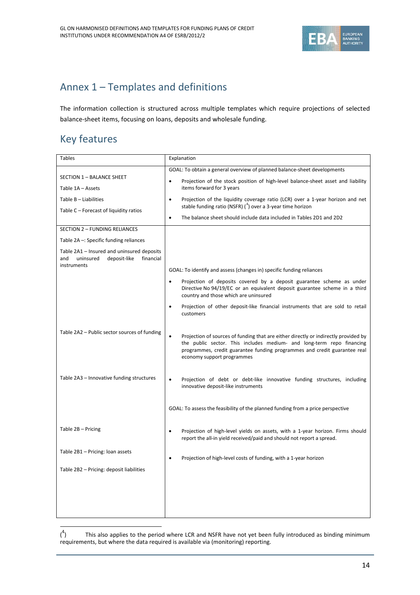

### Annex 1 – Templates and definitions

The information collection is structured across multiple templates which require projections of selected balance-sheet items, focusing on loans, deposits and wholesale funding.

### Key features

 $\overline{a}$ 

| Tables                                                                                                     | Explanation                                                                                                                                                                                                                                                                          |  |
|------------------------------------------------------------------------------------------------------------|--------------------------------------------------------------------------------------------------------------------------------------------------------------------------------------------------------------------------------------------------------------------------------------|--|
|                                                                                                            | GOAL: To obtain a general overview of planned balance-sheet developments                                                                                                                                                                                                             |  |
| SECTION 1 - BALANCE SHEET<br>Table 1A - Assets                                                             | Projection of the stock position of high-level balance-sheet asset and liability<br>٠<br>items forward for 3 years                                                                                                                                                                   |  |
|                                                                                                            |                                                                                                                                                                                                                                                                                      |  |
| Table B - Liabilities<br>Table C - Forecast of liquidity ratios                                            | Projection of the liquidity coverage ratio (LCR) over a 1-year horizon and net<br>٠<br>stable funding ratio (NSFR) $(^4)$ over a 3-year time horizon                                                                                                                                 |  |
|                                                                                                            | The balance sheet should include data included in Tables 2D1 and 2D2<br>$\bullet$                                                                                                                                                                                                    |  |
| SECTION 2 - FUNDING RELIANCES                                                                              |                                                                                                                                                                                                                                                                                      |  |
| Table 2A -: Specific funding reliances                                                                     |                                                                                                                                                                                                                                                                                      |  |
| Table 2A1 - Insured and uninsured deposits<br>deposit-like<br>financial<br>and<br>uninsured<br>instruments |                                                                                                                                                                                                                                                                                      |  |
|                                                                                                            | GOAL: To identify and assess (changes in) specific funding reliances                                                                                                                                                                                                                 |  |
|                                                                                                            | Projection of deposits covered by a deposit guarantee scheme as under<br>$\bullet$<br>Directive No 94/19/EC or an equivalent deposit guarantee scheme in a third<br>country and those which are uninsured                                                                            |  |
|                                                                                                            | Projection of other deposit-like financial instruments that are sold to retail<br>$\bullet$<br>customers                                                                                                                                                                             |  |
| Table 2A2 - Public sector sources of funding                                                               | $\bullet$<br>Projection of sources of funding that are either directly or indirectly provided by<br>the public sector. This includes medium- and long-term repo financing<br>programmes, credit guarantee funding programmes and credit guarantee real<br>economy support programmes |  |
| Table 2A3 - Innovative funding structures                                                                  | Projection of debt or debt-like innovative funding structures, including<br>$\bullet$<br>innovative deposit-like instruments                                                                                                                                                         |  |
|                                                                                                            | GOAL: To assess the feasibility of the planned funding from a price perspective                                                                                                                                                                                                      |  |
| Table 2B - Pricing                                                                                         | Projection of high-level yields on assets, with a 1-year horizon. Firms should<br>$\bullet$<br>report the all-in yield received/paid and should not report a spread.                                                                                                                 |  |
| Table 2B1 - Pricing: loan assets                                                                           | Projection of high-level costs of funding, with a 1-year horizon<br>$\bullet$                                                                                                                                                                                                        |  |
| Table 2B2 - Pricing: deposit liabilities                                                                   |                                                                                                                                                                                                                                                                                      |  |
|                                                                                                            |                                                                                                                                                                                                                                                                                      |  |
|                                                                                                            |                                                                                                                                                                                                                                                                                      |  |
|                                                                                                            |                                                                                                                                                                                                                                                                                      |  |
|                                                                                                            |                                                                                                                                                                                                                                                                                      |  |

<span id="page-13-0"></span> $\binom{4}{ }$ ) This also applies to the period where LCR and NSFR have not yet been fully introduced as binding minimum requirements, but where the data required is available via (monitoring) reporting.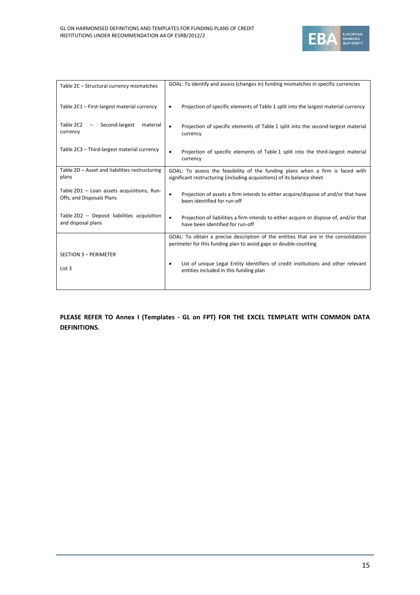

| Table 2C - Structural currency mismatches                               | GOAL: To identify and assess (changes in) funding mismatches in specific currencies                                                                       |
|-------------------------------------------------------------------------|-----------------------------------------------------------------------------------------------------------------------------------------------------------|
| Table 2C1 - First-largest material currency                             | Projection of specific elements of Table 1 split into the largest material currency<br>٠                                                                  |
| Table 2C2<br>Second-largest<br>material<br>$-$<br>currency              | Projection of specific elements of Table 1 split into the second-largest material<br>currency                                                             |
| Table 2C3 – Third-largest material currency                             | Projection of specific elements of Table 1 split into the third-largest material<br>٠<br>currency                                                         |
| Table 2D - Asset and liabilities restructuring<br>plans                 | GOAL: To assess the feasibility of the funding plans when a firm is faced with<br>significant restructuring (including acquisitions) of its balance sheet |
| Table 2D1 - Loan assets acquisitions, Run-<br>Offs, and Disposals Plans | Projection of assets a firm intends to either acquire/dispose of and/or that have<br>٠<br>been identified for run-off                                     |
| Table 2D2 - Deposit liabilities acquisition<br>and disposal plans       | Projection of liabilities a firm intends to either acquire or dispose of, and/or that<br>$\bullet$<br>have been identified for run-off                    |
|                                                                         | GOAL: To obtain a precise description of the entities that are in the consolidation<br>perimeter for this funding plan to avoid gaps or double-counting   |
| <b>SECTION 3 - PERIMETER</b><br>List 3                                  | List of unique Legal Entity Identifiers of credit institutions and other relevant<br>٠<br>entities included in this funding plan                          |

**PLEASE REFER TO Annex I (Templates - GL on FPT) FOR THE EXCEL TEMPLATE WITH COMMON DATA DEFINITIONS.**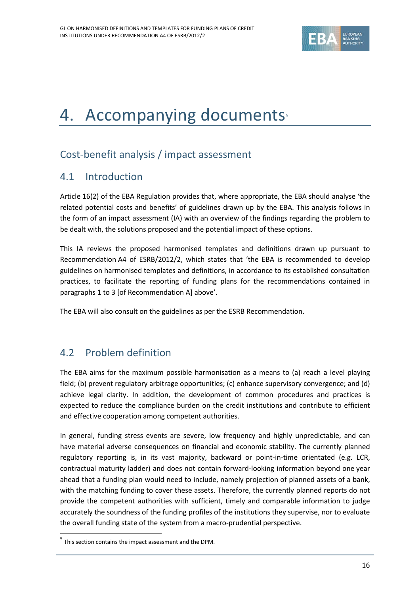

## 4. Accompanying documentss

### Cost-benefit analysis / impact assessment

### 4.1 Introduction

Article 16(2) of the EBA Regulation provides that, where appropriate, the EBA should analyse 'the related potential costs and benefits' of guidelines drawn up by the EBA. This analysis follows in the form of an impact assessment (IA) with an overview of the findings regarding the problem to be dealt with, the solutions proposed and the potential impact of these options.

This IA reviews the proposed harmonised templates and definitions drawn up pursuant to Recommendation A4 of ESRB/2012/2, which states that 'the EBA is recommended to develop guidelines on harmonised templates and definitions, in accordance to its established consultation practices, to facilitate the reporting of funding plans for the recommendations contained in paragraphs 1 to 3 [of Recommendation A] above'.

The EBA will also consult on the guidelines as per the ESRB Recommendation.

### 4.2 Problem definition

The EBA aims for the maximum possible harmonisation as a means to (a) reach a level playing field; (b) prevent regulatory arbitrage opportunities; (c) enhance supervisory convergence; and (d) achieve legal clarity. In addition, the development of common procedures and practices is expected to reduce the compliance burden on the credit institutions and contribute to efficient and effective cooperation among competent authorities.

In general, funding stress events are severe, low frequency and highly unpredictable, and can have material adverse consequences on financial and economic stability. The currently planned regulatory reporting is, in its vast majority, backward or point-in-time orientated (e.g. LCR, contractual maturity ladder) and does not contain forward-looking information beyond one year ahead that a funding plan would need to include, namely projection of planned assets of a bank, with the matching funding to cover these assets. Therefore, the currently planned reports do not provide the competent authorities with sufficient, timely and comparable information to judge accurately the soundness of the funding profiles of the institutions they supervise, nor to evaluate the overall funding state of the system from a macro-prudential perspective.

 $\overline{a}$ 

<span id="page-15-0"></span> $<sup>5</sup>$  This section contains the impact assessment and the DPM.</sup>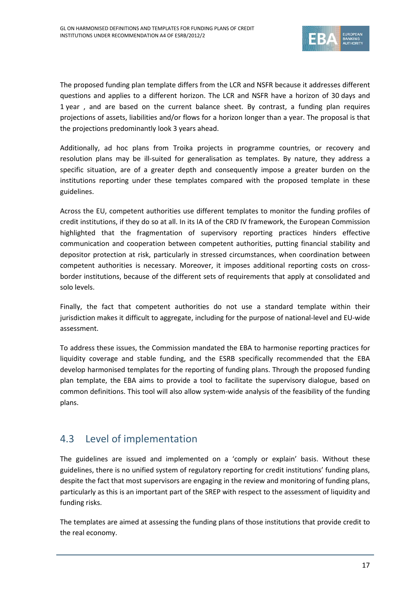

The proposed funding plan template differs from the LCR and NSFR because it addresses different questions and applies to a different horizon. The LCR and NSFR have a horizon of 30 days and 1 year , and are based on the current balance sheet. By contrast, a funding plan requires projections of assets, liabilities and/or flows for a horizon longer than a year. The proposal is that the projections predominantly look 3 years ahead.

Additionally, ad hoc plans from Troika projects in programme countries, or recovery and resolution plans may be ill-suited for generalisation as templates. By nature, they address a specific situation, are of a greater depth and consequently impose a greater burden on the institutions reporting under these templates compared with the proposed template in these guidelines.

Across the EU, competent authorities use different templates to monitor the funding profiles of credit institutions, if they do so at all. In its IA of the CRD IV framework, the European Commission highlighted that the fragmentation of supervisory reporting practices hinders effective communication and cooperation between competent authorities, putting financial stability and depositor protection at risk, particularly in stressed circumstances, when coordination between competent authorities is necessary. Moreover, it imposes additional reporting costs on crossborder institutions, because of the different sets of requirements that apply at consolidated and solo levels.

Finally, the fact that competent authorities do not use a standard template within their jurisdiction makes it difficult to aggregate, including for the purpose of national-level and EU-wide assessment.

To address these issues, the Commission mandated the EBA to harmonise reporting practices for liquidity coverage and stable funding, and the ESRB specifically recommended that the EBA develop harmonised templates for the reporting of funding plans. Through the proposed funding plan template, the EBA aims to provide a tool to facilitate the supervisory dialogue, based on common definitions. This tool will also allow system-wide analysis of the feasibility of the funding plans.

### 4.3 Level of implementation

The guidelines are issued and implemented on a 'comply or explain' basis. Without these guidelines, there is no unified system of regulatory reporting for credit institutions' funding plans, despite the fact that most supervisors are engaging in the review and monitoring of funding plans, particularly as this is an important part of the SREP with respect to the assessment of liquidity and funding risks.

The templates are aimed at assessing the funding plans of those institutions that provide credit to the real economy.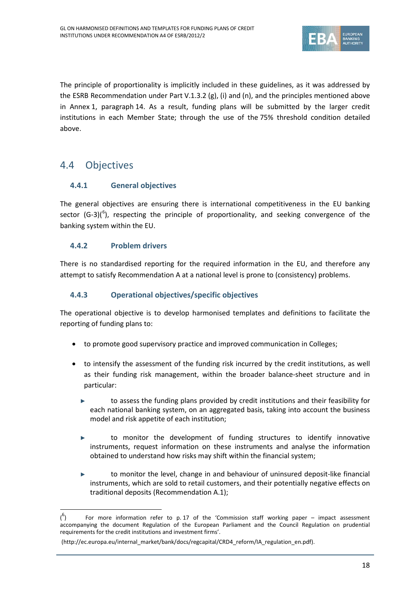

The principle of proportionality is implicitly included in these guidelines, as it was addressed by the ESRB Recommendation under Part V.1.3.2 (g), (i) and (n), and the principles mentioned above in Annex 1, paragraph 14. As a result, funding plans will be submitted by the larger credit institutions in each Member State; through the use of the 75% threshold condition detailed above.

### 4.4 Objectives

 $\overline{a}$ 

### **4.4.1 General objectives**

The general objectives are ensuring there is international competitiveness in the EU banking sector (G-3)( ${}^{6}$  ${}^{6}$  ${}^{6}$ ), respecting the principle of proportionality, and seeking convergence of the banking system within the EU.

### **4.4.2 Problem drivers**

There is no standardised reporting for the required information in the EU, and therefore any attempt to satisfy Recommendation A at a national level is prone to (consistency) problems.

### **4.4.3 Operational objectives/specific objectives**

The operational objective is to develop harmonised templates and definitions to facilitate the reporting of funding plans to:

- to promote good supervisory practice and improved communication in Colleges;
- to intensify the assessment of the funding risk incurred by the credit institutions, as well as their funding risk management, within the broader balance-sheet structure and in particular:
	- to assess the funding plans provided by credit institutions and their feasibility for each national banking system, on an aggregated basis, taking into account the business model and risk appetite of each institution;
	- ► to monitor the development of funding structures to identify innovative instruments, request information on these instruments and analyse the information obtained to understand how risks may shift within the financial system;
	- to monitor the level, change in and behaviour of uninsured deposit-like financial instruments, which are sold to retail customers, and their potentially negative effects on traditional deposits (Recommendation A.1);

<span id="page-17-0"></span> $($ <sup>6</sup> ) For more information refer to p. 17 of the 'Commission staff working paper – impact assessment accompanying the document Regulation of the European Parliament and the Council Regulation on prudential requirements for the credit institutions and investment firms'.

[<sup>\(</sup>http://ec.europa.eu/internal\\_market/bank/docs/regcapital/CRD4\\_reform/IA\\_regulation\\_en.pdf\)](http://ec.europa.eu/internal_market/bank/docs/regcapital/CRD4_reform/IA_regulation_en.pdf).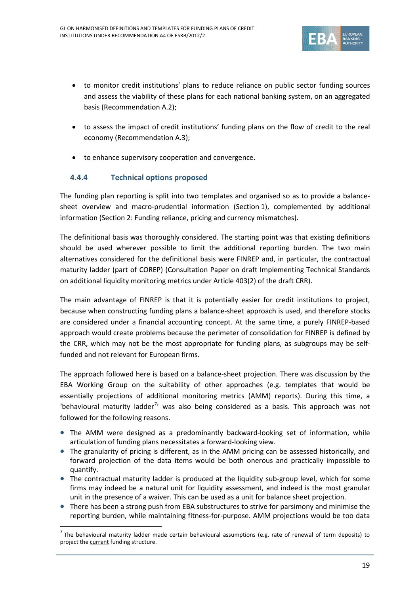

- to monitor credit institutions' plans to reduce reliance on public sector funding sources and assess the viability of these plans for each national banking system, on an aggregated basis (Recommendation A.2);
- to assess the impact of credit institutions' funding plans on the flow of credit to the real economy (Recommendation A.3);
- to enhance supervisory cooperation and convergence.

### **4.4.4 Technical options proposed**

 $\overline{a}$ 

The funding plan reporting is split into two templates and organised so as to provide a balancesheet overview and macro-prudential information (Section 1), complemented by additional information (Section 2: Funding reliance, pricing and currency mismatches).

The definitional basis was thoroughly considered. The starting point was that existing definitions should be used wherever possible to limit the additional reporting burden. The two main alternatives considered for the definitional basis were FINREP and, in particular, the contractual maturity ladder (part of COREP) (Consultation Paper on draft Implementing Technical Standards on additional liquidity monitoring metrics under Article 403(2) of the draft CRR).

The main advantage of FINREP is that it is potentially easier for credit institutions to project, because when constructing funding plans a balance-sheet approach is used, and therefore stocks are considered under a financial accounting concept. At the same time, a purely FINREP-based approach would create problems because the perimeter of consolidation for FINREP is defined by the CRR, which may not be the most appropriate for funding plans, as subgroups may be selffunded and not relevant for European firms.

The approach followed here is based on a balance-sheet projection. There was discussion by the EBA Working Group on the suitability of other approaches (e.g. templates that would be essentially projections of additional monitoring metrics (AMM) reports). During this time, a 'behavioural maturity ladder<sup>[7](#page-18-0)</sup>' was also being considered as a basis. This approach was not followed for the following reasons.

- The AMM were designed as a predominantly backward-looking set of information, while articulation of funding plans necessitates a forward-looking view.
- The granularity of pricing is different, as in the AMM pricing can be assessed historically, and forward projection of the data items would be both onerous and practically impossible to quantify.
- The contractual maturity ladder is produced at the liquidity sub-group level, which for some firms may indeed be a natural unit for liquidity assessment, and indeed is the most granular unit in the presence of a waiver. This can be used as a unit for balance sheet projection.
- There has been a strong push from EBA substructures to strive for parsimony and minimise the reporting burden, while maintaining fitness-for-purpose. AMM projections would be too data

<span id="page-18-0"></span> $<sup>7</sup>$ The behavioural maturity ladder made certain behavioural assumptions (e.g. rate of renewal of term deposits) to</sup> project the current funding structure.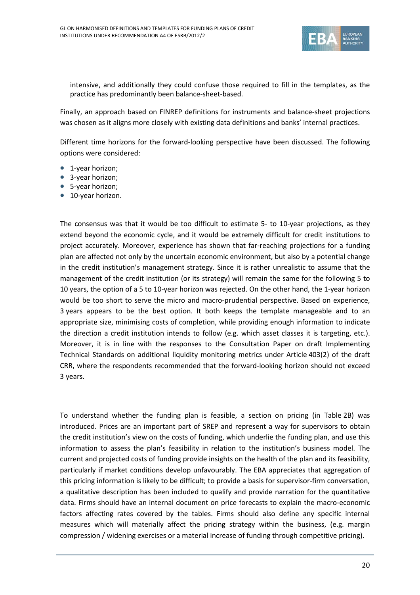

intensive, and additionally they could confuse those required to fill in the templates, as the practice has predominantly been balance-sheet-based.

Finally, an approach based on FINREP definitions for instruments and balance-sheet projections was chosen as it aligns more closely with existing data definitions and banks' internal practices.

Different time horizons for the forward-looking perspective have been discussed. The following options were considered:

- 1-year horizon;
- 3-year horizon;
- 5-year horizon;
- 10-year horizon.

The consensus was that it would be too difficult to estimate 5- to 10-year projections, as they extend beyond the economic cycle, and it would be extremely difficult for credit institutions to project accurately. Moreover, experience has shown that far-reaching projections for a funding plan are affected not only by the uncertain economic environment, but also by a potential change in the credit institution's management strategy. Since it is rather unrealistic to assume that the management of the credit institution (or its strategy) will remain the same for the following 5 to 10 years, the option of a 5 to 10-year horizon was rejected. On the other hand, the 1-year horizon would be too short to serve the micro and macro-prudential perspective. Based on experience, 3 years appears to be the best option. It both keeps the template manageable and to an appropriate size, minimising costs of completion, while providing enough information to indicate the direction a credit institution intends to follow (e.g. which asset classes it is targeting, etc.). Moreover, it is in line with the responses to the Consultation Paper on draft Implementing Technical Standards on additional liquidity monitoring metrics under Article 403(2) of the draft CRR, where the respondents recommended that the forward-looking horizon should not exceed 3 years.

To understand whether the funding plan is feasible, a section on pricing (in Table 2B) was introduced. Prices are an important part of SREP and represent a way for supervisors to obtain the credit institution's view on the costs of funding, which underlie the funding plan, and use this information to assess the plan's feasibility in relation to the institution's business model. The current and projected costs of funding provide insights on the health of the plan and its feasibility, particularly if market conditions develop unfavourably. The EBA appreciates that aggregation of this pricing information is likely to be difficult; to provide a basis for supervisor-firm conversation, a qualitative description has been included to qualify and provide narration for the quantitative data. Firms should have an internal document on price forecasts to explain the macro-economic factors affecting rates covered by the tables. Firms should also define any specific internal measures which will materially affect the pricing strategy within the business, (e.g. margin compression / widening exercises or a material increase of funding through competitive pricing).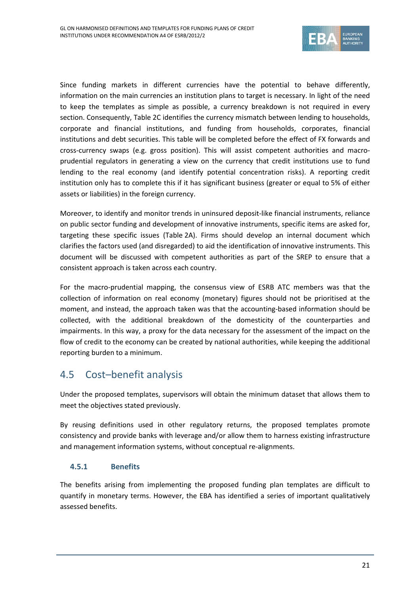

Since funding markets in different currencies have the potential to behave differently, information on the main currencies an institution plans to target is necessary. In light of the need to keep the templates as simple as possible, a currency breakdown is not required in every section. Consequently, Table 2C identifies the currency mismatch between lending to households, corporate and financial institutions, and funding from households, corporates, financial institutions and debt securities. This table will be completed before the effect of FX forwards and cross-currency swaps (e.g. gross position). This will assist competent authorities and macroprudential regulators in generating a view on the currency that credit institutions use to fund lending to the real economy (and identify potential concentration risks). A reporting credit institution only has to complete this if it has significant business (greater or equal to 5% of either assets or liabilities) in the foreign currency.

Moreover, to identify and monitor trends in uninsured deposit-like financial instruments, reliance on public sector funding and development of innovative instruments, specific items are asked for, targeting these specific issues (Table 2A). Firms should develop an internal document which clarifies the factors used (and disregarded) to aid the identification of innovative instruments. This document will be discussed with competent authorities as part of the SREP to ensure that a consistent approach is taken across each country.

For the macro-prudential mapping, the consensus view of ESRB ATC members was that the collection of information on real economy (monetary) figures should not be prioritised at the moment, and instead, the approach taken was that the accounting-based information should be collected, with the additional breakdown of the domesticity of the counterparties and impairments. In this way, a proxy for the data necessary for the assessment of the impact on the flow of credit to the economy can be created by national authorities, while keeping the additional reporting burden to a minimum.

### 4.5 Cost–benefit analysis

Under the proposed templates, supervisors will obtain the minimum dataset that allows them to meet the objectives stated previously.

By reusing definitions used in other regulatory returns, the proposed templates promote consistency and provide banks with leverage and/or allow them to harness existing infrastructure and management information systems, without conceptual re-alignments.

### **4.5.1 Benefits**

The benefits arising from implementing the proposed funding plan templates are difficult to quantify in monetary terms. However, the EBA has identified a series of important qualitatively assessed benefits.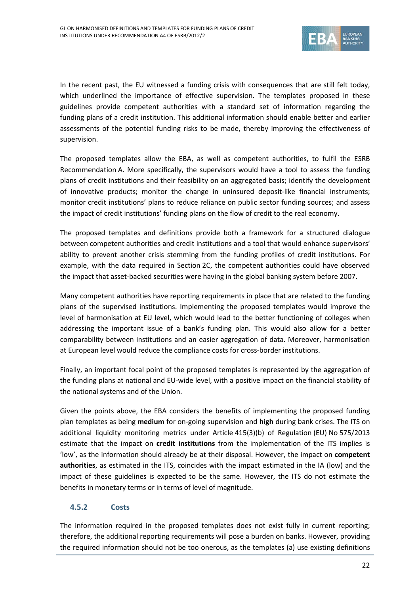

In the recent past, the EU witnessed a funding crisis with consequences that are still felt today, which underlined the importance of effective supervision. The templates proposed in these guidelines provide competent authorities with a standard set of information regarding the funding plans of a credit institution. This additional information should enable better and earlier assessments of the potential funding risks to be made, thereby improving the effectiveness of supervision.

The proposed templates allow the EBA, as well as competent authorities, to fulfil the ESRB Recommendation A. More specifically, the supervisors would have a tool to assess the funding plans of credit institutions and their feasibility on an aggregated basis; identify the development of innovative products; monitor the change in uninsured deposit-like financial instruments; monitor credit institutions' plans to reduce reliance on public sector funding sources; and assess the impact of credit institutions' funding plans on the flow of credit to the real economy.

The proposed templates and definitions provide both a framework for a structured dialogue between competent authorities and credit institutions and a tool that would enhance supervisors' ability to prevent another crisis stemming from the funding profiles of credit institutions. For example, with the data required in Section 2C, the competent authorities could have observed the impact that asset-backed securities were having in the global banking system before 2007.

Many competent authorities have reporting requirements in place that are related to the funding plans of the supervised institutions. Implementing the proposed templates would improve the level of harmonisation at EU level, which would lead to the better functioning of colleges when addressing the important issue of a bank's funding plan. This would also allow for a better comparability between institutions and an easier aggregation of data. Moreover, harmonisation at European level would reduce the compliance costs for cross-border institutions.

Finally, an important focal point of the proposed templates is represented by the aggregation of the funding plans at national and EU-wide level, with a positive impact on the financial stability of the national systems and of the Union.

Given the points above, the EBA considers the benefits of implementing the proposed funding plan templates as being **medium** for on-going supervision and **high** during bank crises. The ITS on additional liquidity monitoring metrics under Article 415(3)(b) of Regulation (EU) No 575/2013 estimate that the impact on **credit institutions** from the implementation of the ITS implies is 'low', as the information should already be at their disposal. However, the impact on **competent authorities**, as estimated in the ITS, coincides with the impact estimated in the IA (low) and the impact of these guidelines is expected to be the same. However, the ITS do not estimate the benefits in monetary terms or in terms of level of magnitude.

### **4.5.2 Costs**

The information required in the proposed templates does not exist fully in current reporting; therefore, the additional reporting requirements will pose a burden on banks. However, providing the required information should not be too onerous, as the templates (a) use existing definitions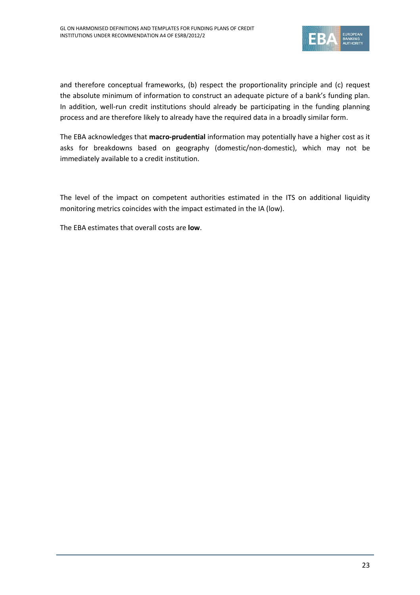

and therefore conceptual frameworks, (b) respect the proportionality principle and (c) request the absolute minimum of information to construct an adequate picture of a bank's funding plan. In addition, well-run credit institutions should already be participating in the funding planning process and are therefore likely to already have the required data in a broadly similar form.

The EBA acknowledges that **macro-prudential** information may potentially have a higher cost as it asks for breakdowns based on geography (domestic/non-domestic), which may not be immediately available to a credit institution.

The level of the impact on competent authorities estimated in the ITS on additional liquidity monitoring metrics coincides with the impact estimated in the IA (low).

The EBA estimates that overall costs are **low**.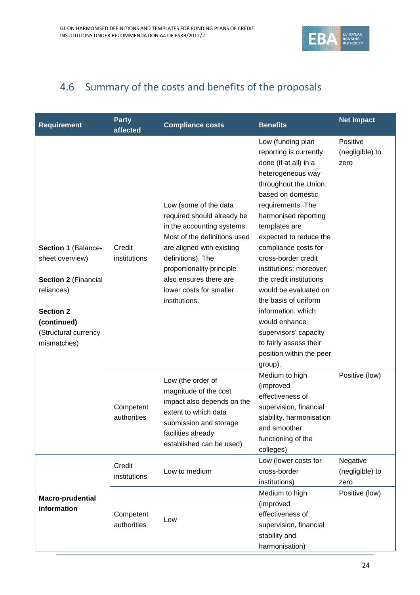

### 4.6 Summary of the costs and benefits of the proposals

| <b>Requirement</b>                                                                                                                                            | <b>Party</b><br>affected | <b>Compliance costs</b>                                                                                                                                                                                                                                                | <b>Benefits</b>                                                                                                                                                                                                                                                                                                                                                                                                                                                                                                        | <b>Net impact</b>                   |
|---------------------------------------------------------------------------------------------------------------------------------------------------------------|--------------------------|------------------------------------------------------------------------------------------------------------------------------------------------------------------------------------------------------------------------------------------------------------------------|------------------------------------------------------------------------------------------------------------------------------------------------------------------------------------------------------------------------------------------------------------------------------------------------------------------------------------------------------------------------------------------------------------------------------------------------------------------------------------------------------------------------|-------------------------------------|
| Section 1 (Balance-<br>sheet overview)<br><b>Section 2 (Financial</b><br>reliances)<br><b>Section 2</b><br>(continued)<br>(Structural currency<br>mismatches) | Credit<br>institutions   | Low (some of the data<br>required should already be<br>in the accounting systems.<br>Most of the definitions used<br>are aligned with existing<br>definitions). The<br>proportionality principle<br>also ensures there are<br>lower costs for smaller<br>institutions. | Low (funding plan<br>reporting is currently<br>done (if at all) in a<br>heterogeneous way<br>throughout the Union,<br>based on domestic<br>requirements. The<br>harmonised reporting<br>templates are<br>expected to reduce the<br>compliance costs for<br>cross-border credit<br>institutions; moreover,<br>the credit institutions<br>would be evaluated on<br>the basis of uniform<br>information, which<br>would enhance<br>supervisors' capacity<br>to fairly assess their<br>position within the peer<br>group). | Positive<br>(negligible) to<br>zero |
|                                                                                                                                                               | Competent<br>authorities | Low (the order of<br>magnitude of the cost<br>impact also depends on the<br>extent to which data<br>submission and storage<br>facilities already<br>established can be used)                                                                                           | Medium to high<br>(improved<br>effectiveness of<br>supervision, financial<br>stability, harmonisation<br>and smoother<br>functioning of the<br>colleges)                                                                                                                                                                                                                                                                                                                                                               | Positive (low)                      |
|                                                                                                                                                               | Credit<br>institutions   | Low to medium                                                                                                                                                                                                                                                          | Low (lower costs for<br>cross-border<br>institutions)                                                                                                                                                                                                                                                                                                                                                                                                                                                                  | Negative<br>(negligible) to<br>zero |
| Macro-prudential<br>information                                                                                                                               | Competent<br>authorities | Low                                                                                                                                                                                                                                                                    | Medium to high<br>(improved<br>effectiveness of<br>supervision, financial<br>stability and<br>harmonisation)                                                                                                                                                                                                                                                                                                                                                                                                           | Positive (low)                      |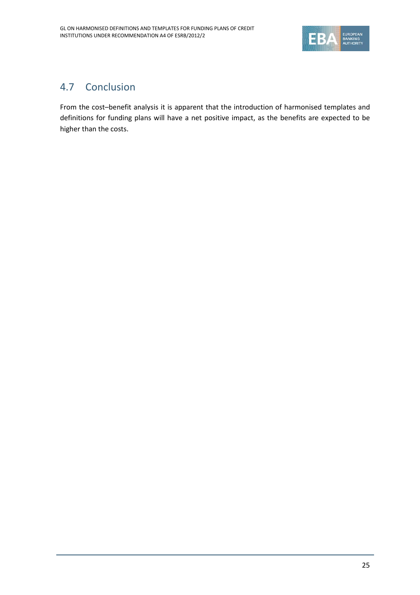

### 4.7 Conclusion

From the cost–benefit analysis it is apparent that the introduction of harmonised templates and definitions for funding plans will have a net positive impact, as the benefits are expected to be higher than the costs.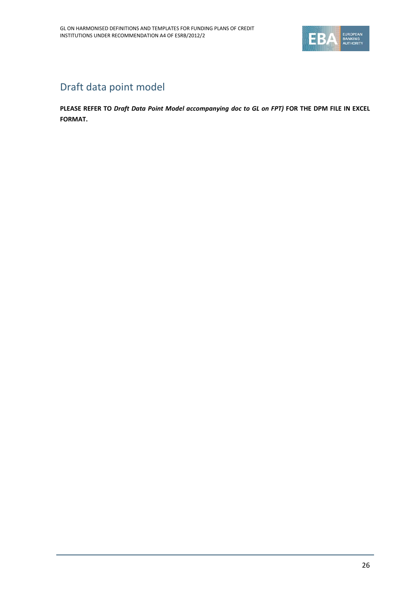

### Draft data point model

**PLEASE REFER TO** *Draft Data Point Model accompanying doc to GL on FPT)* **FOR THE DPM FILE IN EXCEL FORMAT.**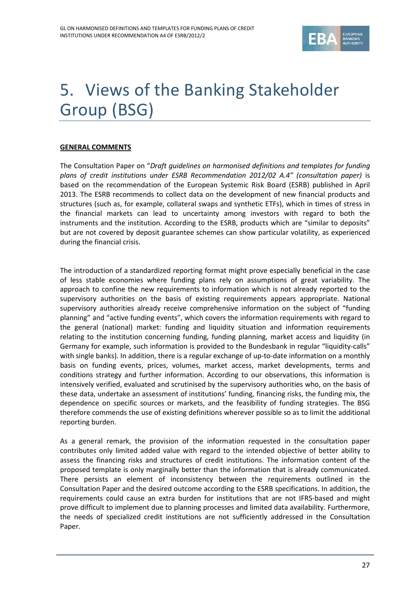

## 5. Views of the Banking Stakeholder Group (BSG)

#### **GENERAL COMMENTS**

The Consultation Paper on "*Draft guidelines on harmonised definitions and templates for funding plans of credit institutions under ESRB Recommendation 2012/02 A.4" (consultation paper)* is based on the recommendation of the European Systemic Risk Board (ESRB) published in April 2013. The ESRB recommends to collect data on the development of new financial products and structures (such as, for example, collateral swaps and synthetic ETFs), which in times of stress in the financial markets can lead to uncertainty among investors with regard to both the instruments and the institution. According to the ESRB, products which are "similar to deposits" but are not covered by deposit guarantee schemes can show particular volatility, as experienced during the financial crisis.

The introduction of a standardized reporting format might prove especially beneficial in the case of less stable economies where funding plans rely on assumptions of great variability. The approach to confine the new requirements to information which is not already reported to the supervisory authorities on the basis of existing requirements appears appropriate. National supervisory authorities already receive comprehensive information on the subject of "funding planning" and "active funding events", which covers the information requirements with regard to the general (national) market: funding and liquidity situation and information requirements relating to the institution concerning funding, funding planning, market access and liquidity (in Germany for example, such information is provided to the Bundesbank in regular "liquidity-calls" with single banks). In addition, there is a regular exchange of up-to-date information on a monthly basis on funding events, prices, volumes, market access, market developments, terms and conditions strategy and further information. According to our observations, this information is intensively verified, evaluated and scrutinised by the supervisory authorities who, on the basis of these data, undertake an assessment of institutions' funding, financing risks, the funding mix, the dependence on specific sources or markets, and the feasibility of funding strategies. The BSG therefore commends the use of existing definitions wherever possible so as to limit the additional reporting burden.

As a general remark, the provision of the information requested in the consultation paper contributes only limited added value with regard to the intended objective of better ability to assess the financing risks and structures of credit institutions. The information content of the proposed template is only marginally better than the information that is already communicated. There persists an element of inconsistency between the requirements outlined in the Consultation Paper and the desired outcome according to the ESRB specifications. In addition, the requirements could cause an extra burden for institutions that are not IFRS-based and might prove difficult to implement due to planning processes and limited data availability. Furthermore, the needs of specialized credit institutions are not sufficiently addressed in the Consultation Paper.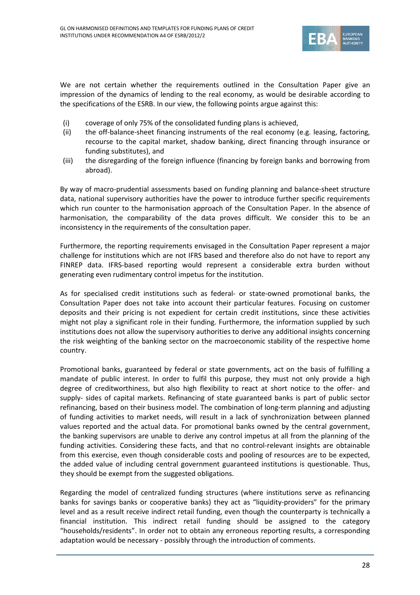

We are not certain whether the requirements outlined in the Consultation Paper give an impression of the dynamics of lending to the real economy, as would be desirable according to the specifications of the ESRB. In our view, the following points argue against this:

- (i) coverage of only 75% of the consolidated funding plans is achieved,
- (ii) the off-balance-sheet financing instruments of the real economy (e.g. leasing, factoring, recourse to the capital market, shadow banking, direct financing through insurance or funding substitutes), and
- (iii) the disregarding of the foreign influence (financing by foreign banks and borrowing from abroad).

By way of macro-prudential assessments based on funding planning and balance-sheet structure data, national supervisory authorities have the power to introduce further specific requirements which run counter to the harmonisation approach of the Consultation Paper. In the absence of harmonisation, the comparability of the data proves difficult. We consider this to be an inconsistency in the requirements of the consultation paper.

Furthermore, the reporting requirements envisaged in the Consultation Paper represent a major challenge for institutions which are not IFRS based and therefore also do not have to report any FINREP data. IFRS-based reporting would represent a considerable extra burden without generating even rudimentary control impetus for the institution.

As for specialised credit institutions such as federal- or state-owned promotional banks, the Consultation Paper does not take into account their particular features. Focusing on customer deposits and their pricing is not expedient for certain credit institutions, since these activities might not play a significant role in their funding. Furthermore, the information supplied by such institutions does not allow the supervisory authorities to derive any additional insights concerning the risk weighting of the banking sector on the macroeconomic stability of the respective home country.

Promotional banks, guaranteed by federal or state governments, act on the basis of fulfilling a mandate of public interest. In order to fulfil this purpose, they must not only provide a high degree of creditworthiness, but also high flexibility to react at short notice to the offer- and supply- sides of capital markets. Refinancing of state guaranteed banks is part of public sector refinancing, based on their business model. The combination of long-term planning and adjusting of funding activities to market needs, will result in a lack of synchronization between planned values reported and the actual data. For promotional banks owned by the central government, the banking supervisors are unable to derive any control impetus at all from the planning of the funding activities. Considering these facts, and that no control-relevant insights are obtainable from this exercise, even though considerable costs and pooling of resources are to be expected, the added value of including central government guaranteed institutions is questionable. Thus, they should be exempt from the suggested obligations.

Regarding the model of centralized funding structures (where institutions serve as refinancing banks for savings banks or cooperative banks) they act as "liquidity-providers" for the primary level and as a result receive indirect retail funding, even though the counterparty is technically a financial institution. This indirect retail funding should be assigned to the category "households/residents". In order not to obtain any erroneous reporting results, a corresponding adaptation would be necessary - possibly through the introduction of comments.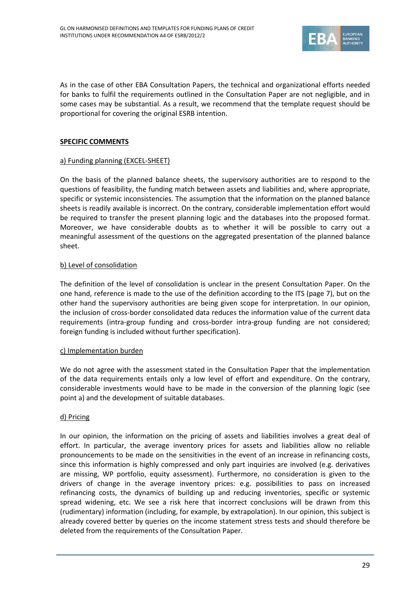

As in the case of other EBA Consultation Papers, the technical and organizational efforts needed for banks to fulfil the requirements outlined in the Consultation Paper are not negligible, and in some cases may be substantial. As a result, we recommend that the template request should be proportional for covering the original ESRB intention.

#### **SPECIFIC COMMENTS**

#### a) Funding planning (EXCEL-SHEET)

On the basis of the planned balance sheets, the supervisory authorities are to respond to the questions of feasibility, the funding match between assets and liabilities and, where appropriate, specific or systemic inconsistencies. The assumption that the information on the planned balance sheets is readily available is incorrect. On the contrary, considerable implementation effort would be required to transfer the present planning logic and the databases into the proposed format. Moreover, we have considerable doubts as to whether it will be possible to carry out a meaningful assessment of the questions on the aggregated presentation of the planned balance sheet.

#### b) Level of consolidation

The definition of the level of consolidation is unclear in the present Consultation Paper. On the one hand, reference is made to the use of the definition according to the ITS (page 7), but on the other hand the supervisory authorities are being given scope for interpretation. In our opinion, the inclusion of cross-border consolidated data reduces the information value of the current data requirements (intra-group funding and cross-border intra-group funding are not considered; foreign funding is included without further specification).

#### c) Implementation burden

We do not agree with the assessment stated in the Consultation Paper that the implementation of the data requirements entails only a low level of effort and expenditure. On the contrary, considerable investments would have to be made in the conversion of the planning logic (see point a) and the development of suitable databases.

#### d) Pricing

In our opinion, the information on the pricing of assets and liabilities involves a great deal of effort. In particular, the average inventory prices for assets and liabilities allow no reliable pronouncements to be made on the sensitivities in the event of an increase in refinancing costs, since this information is highly compressed and only part inquiries are involved (e.g. derivatives are missing, WP portfolio, equity assessment). Furthermore, no consideration is given to the drivers of change in the average inventory prices: e.g. possibilities to pass on increased refinancing costs, the dynamics of building up and reducing inventories, specific or systemic spread widening, etc. We see a risk here that incorrect conclusions will be drawn from this (rudimentary) information (including, for example, by extrapolation). In our opinion, this subject is already covered better by queries on the income statement stress tests and should therefore be deleted from the requirements of the Consultation Paper.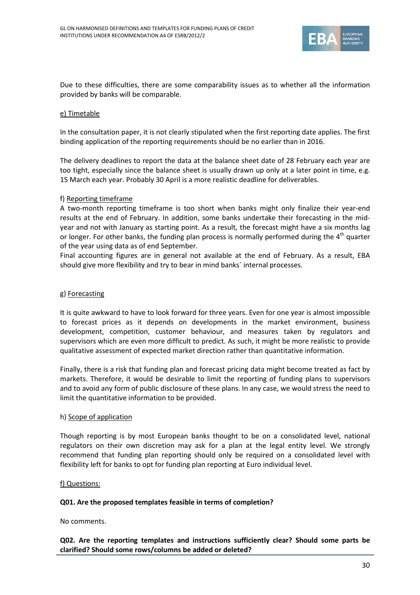

Due to these difficulties, there are some comparability issues as to whether all the information provided by banks will be comparable.

#### e) Timetable

In the consultation paper, it is not clearly stipulated when the first reporting date applies. The first binding application of the reporting requirements should be no earlier than in 2016.

The delivery deadlines to report the data at the balance sheet date of 28 February each year are too tight, especially since the balance sheet is usually drawn up only at a later point in time, e.g. 15 March each year. Probably 30 April is a more realistic deadline for deliverables.

#### f) Reporting timeframe

A two-month reporting timeframe is too short when banks might only finalize their year-end results at the end of February. In addition, some banks undertake their forecasting in the midyear and not with January as starting point. As a result, the forecast might have a six months lag or longer. For other banks, the funding plan process is normally performed during the  $4<sup>th</sup>$  quarter of the year using data as of end September.

Final accounting figures are in general not available at the end of February. As a result, EBA should give more flexibility and try to bear in mind banks´ internal processes.

#### g) Forecasting

It is quite awkward to have to look forward for three years. Even for one year is almost impossible to forecast prices as it depends on developments in the market environment, business development, competition, customer behaviour, and measures taken by regulators and supervisors which are even more difficult to predict. As such, it might be more realistic to provide qualitative assessment of expected market direction rather than quantitative information.

Finally, there is a risk that funding plan and forecast pricing data might become treated as fact by markets. Therefore, it would be desirable to limit the reporting of funding plans to supervisors and to avoid any form of public disclosure of these plans. In any case, we would stress the need to limit the quantitative information to be provided.

#### h) Scope of application

Though reporting is by most European banks thought to be on a consolidated level, national regulators on their own discretion may ask for a plan at the legal entity level. We strongly recommend that funding plan reporting should only be required on a consolidated level with flexibility left for banks to opt for funding plan reporting at Euro individual level.

#### f) Questions:

#### **Q01. Are the proposed templates feasible in terms of completion?**

No comments.

**Q02. Are the reporting templates and instructions sufficiently clear? Should some parts be clarified? Should some rows/columns be added or deleted?**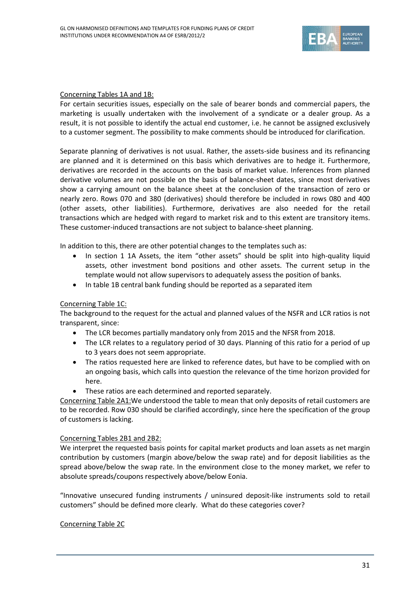

#### Concerning Tables 1A and 1B:

For certain securities issues, especially on the sale of bearer bonds and commercial papers, the marketing is usually undertaken with the involvement of a syndicate or a dealer group. As a result, it is not possible to identify the actual end customer, i.e. he cannot be assigned exclusively to a customer segment. The possibility to make comments should be introduced for clarification.

Separate planning of derivatives is not usual. Rather, the assets-side business and its refinancing are planned and it is determined on this basis which derivatives are to hedge it. Furthermore, derivatives are recorded in the accounts on the basis of market value. Inferences from planned derivative volumes are not possible on the basis of balance-sheet dates, since most derivatives show a carrying amount on the balance sheet at the conclusion of the transaction of zero or nearly zero. Rows 070 and 380 (derivatives) should therefore be included in rows 080 and 400 (other assets, other liabilities). Furthermore, derivatives are also needed for the retail transactions which are hedged with regard to market risk and to this extent are transitory items. These customer-induced transactions are not subject to balance-sheet planning.

In addition to this, there are other potential changes to the templates such as:

- In section 1 1A Assets, the item "other assets" should be split into high-quality liquid assets, other investment bond positions and other assets. The current setup in the template would not allow supervisors to adequately assess the position of banks.
- In table 1B central bank funding should be reported as a separated item

#### Concerning Table 1C:

The background to the request for the actual and planned values of the NSFR and LCR ratios is not transparent, since:

- The LCR becomes partially mandatory only from 2015 and the NFSR from 2018.
- The LCR relates to a regulatory period of 30 days. Planning of this ratio for a period of up to 3 years does not seem appropriate.
- The ratios requested here are linked to reference dates, but have to be complied with on an ongoing basis, which calls into question the relevance of the time horizon provided for here.
- These ratios are each determined and reported separately.

Concerning Table 2A1:We understood the table to mean that only deposits of retail customers are to be recorded. Row 030 should be clarified accordingly, since here the specification of the group of customers is lacking.

#### Concerning Tables 2B1 and 2B2:

We interpret the requested basis points for capital market products and loan assets as net margin contribution by customers (margin above/below the swap rate) and for deposit liabilities as the spread above/below the swap rate. In the environment close to the money market, we refer to absolute spreads/coupons respectively above/below Eonia.

"Innovative unsecured funding instruments / uninsured deposit-like instruments sold to retail customers" should be defined more clearly. What do these categories cover?

#### Concerning Table 2C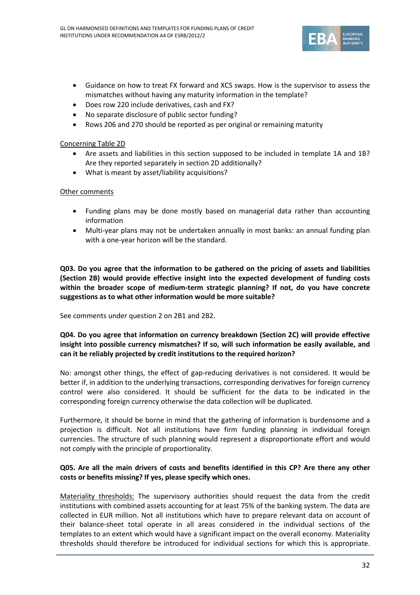

- Guidance on how to treat FX forward and XCS swaps. How is the supervisor to assess the mismatches without having any maturity information in the template?
- Does row 220 include derivatives, cash and FX?
- No separate disclosure of public sector funding?
- Rows 206 and 270 should be reported as per original or remaining maturity

#### Concerning Table 2D

- Are assets and liabilities in this section supposed to be included in template 1A and 1B? Are they reported separately in section 2D additionally?
- What is meant by asset/liability acquisitions?

#### Other comments

- Funding plans may be done mostly based on managerial data rather than accounting information
- Multi-year plans may not be undertaken annually in most banks: an annual funding plan with a one-year horizon will be the standard.

**Q03. Do you agree that the information to be gathered on the pricing of assets and liabilities (Section 2B) would provide effective insight into the expected development of funding costs within the broader scope of medium-term strategic planning? If not, do you have concrete suggestions as to what other information would be more suitable?** 

See comments under question 2 on 2B1 and 2B2.

**Q04. Do you agree that information on currency breakdown (Section 2C) will provide effective insight into possible currency mismatches? If so, will such information be easily available, and can it be reliably projected by credit institutions to the required horizon?** 

No: amongst other things, the effect of gap-reducing derivatives is not considered. It would be better if, in addition to the underlying transactions, corresponding derivatives for foreign currency control were also considered. It should be sufficient for the data to be indicated in the corresponding foreign currency otherwise the data collection will be duplicated.

Furthermore, it should be borne in mind that the gathering of information is burdensome and a projection is difficult. Not all institutions have firm funding planning in individual foreign currencies. The structure of such planning would represent a disproportionate effort and would not comply with the principle of proportionality.

#### **Q05. Are all the main drivers of costs and benefits identified in this CP? Are there any other costs or benefits missing? If yes, please specify which ones.**

Materiality thresholds: The supervisory authorities should request the data from the credit institutions with combined assets accounting for at least 75% of the banking system. The data are collected in EUR million. Not all institutions which have to prepare relevant data on account of their balance-sheet total operate in all areas considered in the individual sections of the templates to an extent which would have a significant impact on the overall economy. Materiality thresholds should therefore be introduced for individual sections for which this is appropriate.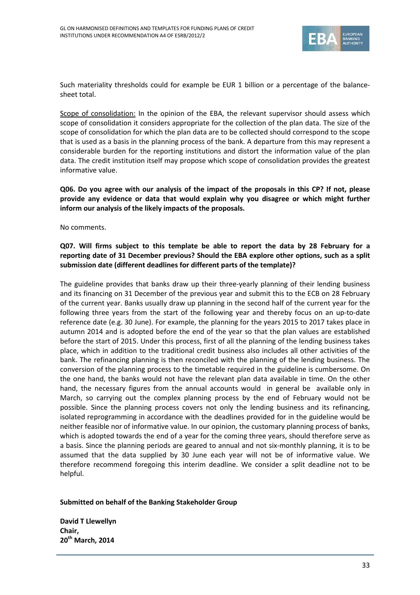

Such materiality thresholds could for example be EUR 1 billion or a percentage of the balancesheet total.

Scope of consolidation: In the opinion of the EBA, the relevant supervisor should assess which scope of consolidation it considers appropriate for the collection of the plan data. The size of the scope of consolidation for which the plan data are to be collected should correspond to the scope that is used as a basis in the planning process of the bank. A departure from this may represent a considerable burden for the reporting institutions and distort the information value of the plan data. The credit institution itself may propose which scope of consolidation provides the greatest informative value.

**Q06. Do you agree with our analysis of the impact of the proposals in this CP? If not, please provide any evidence or data that would explain why you disagree or which might further inform our analysis of the likely impacts of the proposals.** 

No comments.

**Q07. Will firms subject to this template be able to report the data by 28 February for a reporting date of 31 December previous? Should the EBA explore other options, such as a split submission date (different deadlines for different parts of the template)?**

The guideline provides that banks draw up their three-yearly planning of their lending business and its financing on 31 December of the previous year and submit this to the ECB on 28 February of the current year. Banks usually draw up planning in the second half of the current year for the following three years from the start of the following year and thereby focus on an up-to-date reference date (e.g. 30 June). For example, the planning for the years 2015 to 2017 takes place in autumn 2014 and is adopted before the end of the year so that the plan values are established before the start of 2015. Under this process, first of all the planning of the lending business takes place, which in addition to the traditional credit business also includes all other activities of the bank. The refinancing planning is then reconciled with the planning of the lending business. The conversion of the planning process to the timetable required in the guideline is cumbersome. On the one hand, the banks would not have the relevant plan data available in time. On the other hand, the necessary figures from the annual accounts would in general be available only in March, so carrying out the complex planning process by the end of February would not be possible. Since the planning process covers not only the lending business and its refinancing, isolated reprogramming in accordance with the deadlines provided for in the guideline would be neither feasible nor of informative value. In our opinion, the customary planning process of banks, which is adopted towards the end of a year for the coming three years, should therefore serve as a basis. Since the planning periods are geared to annual and not six-monthly planning, it is to be assumed that the data supplied by 30 June each year will not be of informative value. We therefore recommend foregoing this interim deadline. We consider a split deadline not to be helpful.

#### **Submitted on behalf of the Banking Stakeholder Group**

**David T Llewellyn Chair, 20th March, 2014**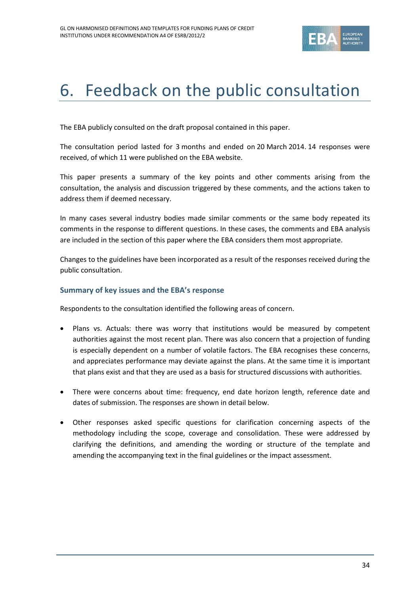

## 6. Feedback on the public consultation

The EBA publicly consulted on the draft proposal contained in this paper.

The consultation period lasted for 3 months and ended on 20 March 2014. 14 responses were received, of which 11 were published on the EBA website.

This paper presents a summary of the key points and other comments arising from the consultation, the analysis and discussion triggered by these comments, and the actions taken to address them if deemed necessary.

In many cases several industry bodies made similar comments or the same body repeated its comments in the response to different questions. In these cases, the comments and EBA analysis are included in the section of this paper where the EBA considers them most appropriate.

Changes to the guidelines have been incorporated as a result of the responses received during the public consultation.

### **Summary of key issues and the EBA's response**

Respondents to the consultation identified the following areas of concern.

- Plans vs. Actuals: there was worry that institutions would be measured by competent authorities against the most recent plan. There was also concern that a projection of funding is especially dependent on a number of volatile factors. The EBA recognises these concerns, and appreciates performance may deviate against the plans. At the same time it is important that plans exist and that they are used as a basis for structured discussions with authorities.
- There were concerns about time: frequency, end date horizon length, reference date and dates of submission. The responses are shown in detail below.
- Other responses asked specific questions for clarification concerning aspects of the methodology including the scope, coverage and consolidation. These were addressed by clarifying the definitions, and amending the wording or structure of the template and amending the accompanying text in the final guidelines or the impact assessment.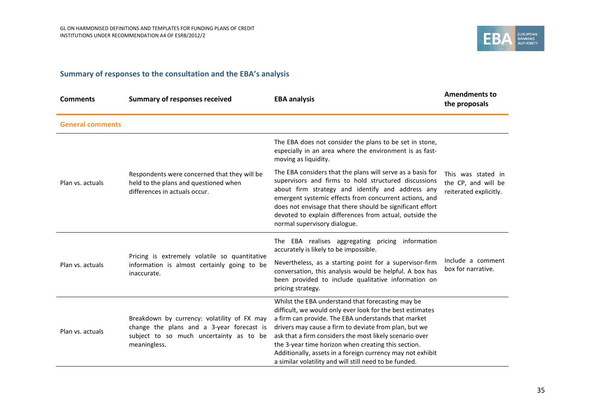

### **Summary of responses to the consultation and the EBA's analysis**

| <b>Comments</b>         | <b>Summary of responses received</b>                                                                                                                | <b>EBA analysis</b>                                                                                                                                                                                                                                                                                                                                                                                                                                                      | <b>Amendments to</b><br>the proposals                               |
|-------------------------|-----------------------------------------------------------------------------------------------------------------------------------------------------|--------------------------------------------------------------------------------------------------------------------------------------------------------------------------------------------------------------------------------------------------------------------------------------------------------------------------------------------------------------------------------------------------------------------------------------------------------------------------|---------------------------------------------------------------------|
| <b>General comments</b> |                                                                                                                                                     |                                                                                                                                                                                                                                                                                                                                                                                                                                                                          |                                                                     |
| Plan vs. actuals        | Respondents were concerned that they will be<br>held to the plans and questioned when<br>differences in actuals occur.                              | The EBA does not consider the plans to be set in stone,<br>especially in an area where the environment is as fast-<br>moving as liquidity.                                                                                                                                                                                                                                                                                                                               |                                                                     |
|                         |                                                                                                                                                     | The EBA considers that the plans will serve as a basis for<br>supervisors and firms to hold structured discussions<br>about firm strategy and identify and address any<br>emergent systemic effects from concurrent actions, and<br>does not envisage that there should be significant effort<br>devoted to explain differences from actual, outside the<br>normal supervisory dialogue.                                                                                 | This was stated in<br>the CP, and will be<br>reiterated explicitly. |
| Plan vs. actuals        | Pricing is extremely volatile so quantitative<br>information is almost certainly going to be<br>inaccurate.                                         | The EBA realises aggregating pricing information<br>accurately is likely to be impossible.<br>Nevertheless, as a starting point for a supervisor-firm<br>conversation, this analysis would be helpful. A box has<br>been provided to include qualitative information on<br>pricing strategy.                                                                                                                                                                             | Include a comment<br>box for narrative.                             |
| Plan vs. actuals        | Breakdown by currency: volatility of FX may<br>change the plans and a 3-year forecast is<br>subject to so much uncertainty as to be<br>meaningless. | Whilst the EBA understand that forecasting may be<br>difficult, we would only ever look for the best estimates<br>a firm can provide. The EBA understands that market<br>drivers may cause a firm to deviate from plan, but we<br>ask that a firm considers the most likely scenario over<br>the 3-year time horizon when creating this section.<br>Additionally, assets in a foreign currency may not exhibit<br>a similar volatility and will still need to be funded. |                                                                     |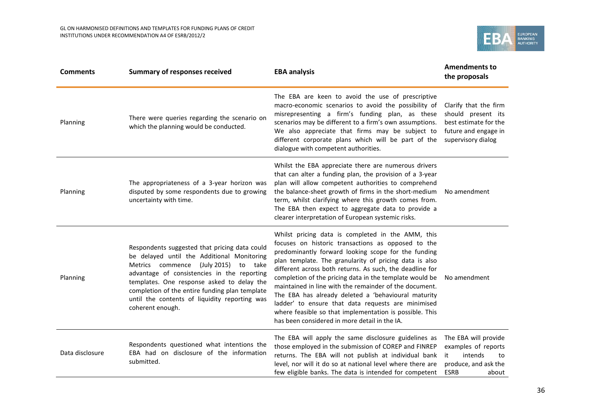

| <b>Comments</b> | <b>Summary of responses received</b>                                                                                                                                                                                                                                                                                                                    | <b>EBA analysis</b>                                                                                                                                                                                                                                                                                                                                                                                                                                                                                                                                                                                                                | <b>Amendments to</b><br>the proposals                                                                               |
|-----------------|---------------------------------------------------------------------------------------------------------------------------------------------------------------------------------------------------------------------------------------------------------------------------------------------------------------------------------------------------------|------------------------------------------------------------------------------------------------------------------------------------------------------------------------------------------------------------------------------------------------------------------------------------------------------------------------------------------------------------------------------------------------------------------------------------------------------------------------------------------------------------------------------------------------------------------------------------------------------------------------------------|---------------------------------------------------------------------------------------------------------------------|
| Planning        | There were queries regarding the scenario on<br>which the planning would be conducted.                                                                                                                                                                                                                                                                  | The EBA are keen to avoid the use of prescriptive<br>macro-economic scenarios to avoid the possibility of<br>misrepresenting a firm's funding plan, as these<br>scenarios may be different to a firm's own assumptions.<br>We also appreciate that firms may be subject to<br>different corporate plans which will be part of the<br>dialogue with competent authorities.                                                                                                                                                                                                                                                          | Clarify that the firm<br>should present its<br>best estimate for the<br>future and engage in<br>supervisory dialog  |
| Planning        | The appropriateness of a 3-year horizon was<br>disputed by some respondents due to growing<br>uncertainty with time.                                                                                                                                                                                                                                    | Whilst the EBA appreciate there are numerous drivers<br>that can alter a funding plan, the provision of a 3-year<br>plan will allow competent authorities to comprehend<br>the balance-sheet growth of firms in the short-medium<br>term, whilst clarifying where this growth comes from.<br>The EBA then expect to aggregate data to provide a<br>clearer interpretation of European systemic risks.                                                                                                                                                                                                                              | No amendment                                                                                                        |
| Planning        | Respondents suggested that pricing data could<br>be delayed until the Additional Monitoring<br>Metrics commence (July 2015) to take<br>advantage of consistencies in the reporting<br>templates. One response asked to delay the<br>completion of the entire funding plan template<br>until the contents of liquidity reporting was<br>coherent enough. | Whilst pricing data is completed in the AMM, this<br>focuses on historic transactions as opposed to the<br>predominantly forward looking scope for the funding<br>plan template. The granularity of pricing data is also<br>different across both returns. As such, the deadline for<br>completion of the pricing data in the template would be<br>maintained in line with the remainder of the document.<br>The EBA has already deleted a 'behavioural maturity<br>ladder' to ensure that data requests are minimised<br>where feasible so that implementation is possible. This<br>has been considered in more detail in the IA. | No amendment                                                                                                        |
| Data disclosure | Respondents questioned what intentions the<br>EBA had on disclosure of the information<br>submitted.                                                                                                                                                                                                                                                    | The EBA will apply the same disclosure guidelines as<br>those employed in the submission of COREP and FINREP<br>returns. The EBA will not publish at individual bank<br>level, nor will it do so at national level where there are<br>few eligible banks. The data is intended for competent                                                                                                                                                                                                                                                                                                                                       | The EBA will provide<br>examples of reports<br>intends<br>-it<br>to<br>produce, and ask the<br><b>ESRB</b><br>about |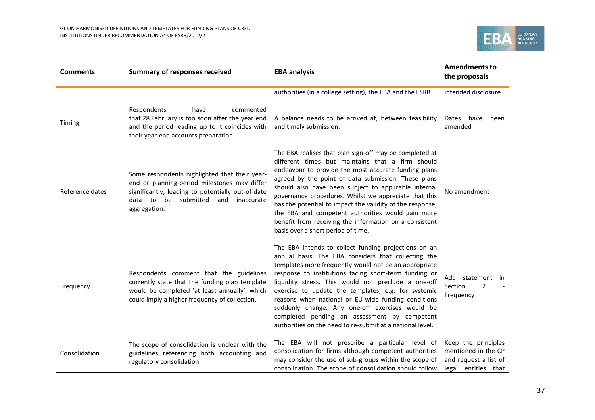

| <b>Comments</b> | <b>Summary of responses received</b>                                                                                                                                                                      | <b>EBA analysis</b>                                                                                                                                                                                                                                                                                                                                                                                                                                                                                                                                                | <b>Amendments to</b><br>the proposals                                                      |
|-----------------|-----------------------------------------------------------------------------------------------------------------------------------------------------------------------------------------------------------|--------------------------------------------------------------------------------------------------------------------------------------------------------------------------------------------------------------------------------------------------------------------------------------------------------------------------------------------------------------------------------------------------------------------------------------------------------------------------------------------------------------------------------------------------------------------|--------------------------------------------------------------------------------------------|
|                 |                                                                                                                                                                                                           | authorities (in a college setting), the EBA and the ESRB.                                                                                                                                                                                                                                                                                                                                                                                                                                                                                                          | intended disclosure                                                                        |
| Timing          | Respondents<br>have<br>commented<br>that 28 February is too soon after the year end<br>and the period leading up to it coincides with<br>their year-end accounts preparation.                             | A balance needs to be arrived at, between feasibility<br>and timely submission.                                                                                                                                                                                                                                                                                                                                                                                                                                                                                    | Dates<br>have<br>been<br>amended                                                           |
| Reference dates | Some respondents highlighted that their year-<br>end or planning-period milestones may differ<br>significantly, leading to potentially out-of-date<br>data to be submitted and inaccurate<br>aggregation. | The EBA realises that plan sign-off may be completed at<br>different times but maintains that a firm should<br>endeavour to provide the most accurate funding plans<br>agreed by the point of data submission. These plans<br>should also have been subject to applicable internal<br>governance procedures. Whilst we appreciate that this<br>has the potential to impact the validity of the response,<br>the EBA and competent authorities would gain more<br>benefit from receiving the information on a consistent<br>basis over a short period of time.      | No amendment                                                                               |
| Frequency       | Respondents comment that the guidelines<br>currently state that the funding plan template<br>would be completed 'at least annually', which<br>could imply a higher frequency of collection.               | The EBA intends to collect funding projections on an<br>annual basis. The EBA considers that collecting the<br>templates more frequently would not be an appropriate<br>response to institutions facing short-term funding or<br>liquidity stress. This would not preclude a one-off<br>exercise to update the templates, e.g. for systemic<br>reasons when national or EU-wide funding conditions<br>suddenly change. Any one-off exercises would be<br>completed pending an assessment by competent<br>authorities on the need to re-submit at a national level. | Add statement in<br>Section<br>2<br>Frequency                                              |
| Consolidation   | The scope of consolidation is unclear with the<br>guidelines referencing both accounting and<br>regulatory consolidation.                                                                                 | The EBA will not prescribe a particular level of<br>consolidation for firms although competent authorities<br>may consider the use of sub-groups within the scope of<br>consolidation. The scope of consolidation should follow                                                                                                                                                                                                                                                                                                                                    | Keep the principles<br>mentioned in the CP<br>and request a list of<br>legal entities that |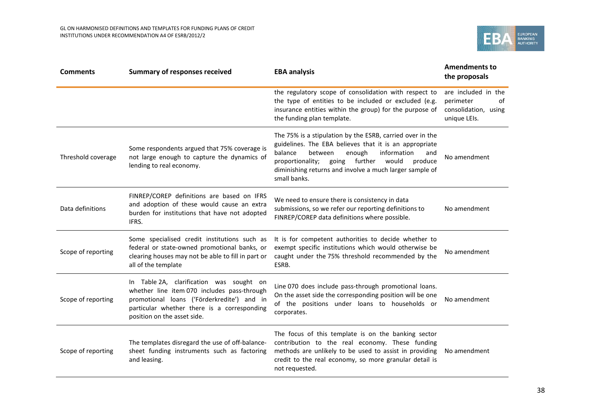

| <b>Comments</b>    | <b>Summary of responses received</b>                                                                                                                                                                                | <b>EBA analysis</b>                                                                                                                                                                                                                                                                                              | <b>Amendments to</b><br>the proposals                                          |
|--------------------|---------------------------------------------------------------------------------------------------------------------------------------------------------------------------------------------------------------------|------------------------------------------------------------------------------------------------------------------------------------------------------------------------------------------------------------------------------------------------------------------------------------------------------------------|--------------------------------------------------------------------------------|
|                    |                                                                                                                                                                                                                     | the regulatory scope of consolidation with respect to<br>the type of entities to be included or excluded (e.g.<br>insurance entities within the group) for the purpose of<br>the funding plan template.                                                                                                          | are included in the<br>perimeter<br>οf<br>consolidation, using<br>unique LEIs. |
| Threshold coverage | Some respondents argued that 75% coverage is<br>not large enough to capture the dynamics of<br>lending to real economy.                                                                                             | The 75% is a stipulation by the ESRB, carried over in the<br>guidelines. The EBA believes that it is an appropriate<br>balance<br>information<br>between<br>enough<br>and<br>proportionality;<br>further<br>would<br>produce<br>going<br>diminishing returns and involve a much larger sample of<br>small banks. | No amendment                                                                   |
| Data definitions   | FINREP/COREP definitions are based on IFRS<br>and adoption of these would cause an extra<br>burden for institutions that have not adopted<br>IFRS.                                                                  | We need to ensure there is consistency in data<br>submissions, so we refer our reporting definitions to<br>FINREP/COREP data definitions where possible.                                                                                                                                                         | No amendment                                                                   |
| Scope of reporting | Some specialised credit institutions such as<br>federal or state-owned promotional banks, or<br>clearing houses may not be able to fill in part or<br>all of the template                                           | It is for competent authorities to decide whether to<br>exempt specific institutions which would otherwise be<br>caught under the 75% threshold recommended by the<br>ESRB.                                                                                                                                      | No amendment                                                                   |
| Scope of reporting | In Table 2A, clarification was sought on<br>whether line item 070 includes pass-through<br>promotional loans ('Förderkredite') and in<br>particular whether there is a corresponding<br>position on the asset side. | Line 070 does include pass-through promotional loans.<br>On the asset side the corresponding position will be one<br>of the positions under loans to households or<br>corporates.                                                                                                                                | No amendment                                                                   |
| Scope of reporting | The templates disregard the use of off-balance-<br>sheet funding instruments such as factoring<br>and leasing.                                                                                                      | The focus of this template is on the banking sector<br>contribution to the real economy. These funding<br>methods are unlikely to be used to assist in providing<br>credit to the real economy, so more granular detail is<br>not requested.                                                                     | No amendment                                                                   |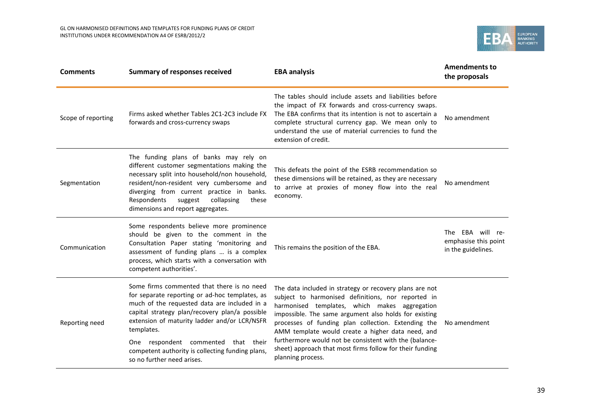

| <b>Summary of responses received</b>                                                                                                                                                                                                                                                                                                                                                  | <b>EBA analysis</b>                                                                                                                                                                                                                                                                                                                                                                                                                                                            | <b>Amendments to</b><br>the proposals                          |
|---------------------------------------------------------------------------------------------------------------------------------------------------------------------------------------------------------------------------------------------------------------------------------------------------------------------------------------------------------------------------------------|--------------------------------------------------------------------------------------------------------------------------------------------------------------------------------------------------------------------------------------------------------------------------------------------------------------------------------------------------------------------------------------------------------------------------------------------------------------------------------|----------------------------------------------------------------|
| Firms asked whether Tables 2C1-2C3 include FX<br>forwards and cross-currency swaps                                                                                                                                                                                                                                                                                                    | The tables should include assets and liabilities before<br>the impact of FX forwards and cross-currency swaps.<br>The EBA confirms that its intention is not to ascertain a<br>complete structural currency gap. We mean only to<br>understand the use of material currencies to fund the<br>extension of credit.                                                                                                                                                              | No amendment                                                   |
| The funding plans of banks may rely on<br>different customer segmentations making the<br>necessary split into household/non household,<br>resident/non-resident very cumbersome and<br>diverging from current practice in banks.<br>Respondents<br>suggest<br>collapsing<br>these<br>dimensions and report aggregates.                                                                | This defeats the point of the ESRB recommendation so<br>these dimensions will be retained, as they are necessary<br>to arrive at proxies of money flow into the real<br>economy.                                                                                                                                                                                                                                                                                               | No amendment                                                   |
| Some respondents believe more prominence<br>should be given to the comment in the<br>Consultation Paper stating 'monitoring and<br>assessment of funding plans  is a complex<br>process, which starts with a conversation with<br>competent authorities'.                                                                                                                             | This remains the position of the EBA.                                                                                                                                                                                                                                                                                                                                                                                                                                          | The EBA will re-<br>emphasise this point<br>in the guidelines. |
| Some firms commented that there is no need<br>for separate reporting or ad-hoc templates, as<br>much of the requested data are included in a<br>capital strategy plan/recovery plan/a possible<br>extension of maturity ladder and/or LCR/NSFR<br>templates.<br>One respondent commented that their<br>competent authority is collecting funding plans,<br>so no further need arises. | The data included in strategy or recovery plans are not<br>subject to harmonised definitions, nor reported in<br>harmonised templates, which makes aggregation<br>impossible. The same argument also holds for existing<br>processes of funding plan collection. Extending the<br>AMM template would create a higher data need, and<br>furthermore would not be consistent with the (balance-<br>sheet) approach that most firms follow for their funding<br>planning process. | No amendment                                                   |
|                                                                                                                                                                                                                                                                                                                                                                                       |                                                                                                                                                                                                                                                                                                                                                                                                                                                                                |                                                                |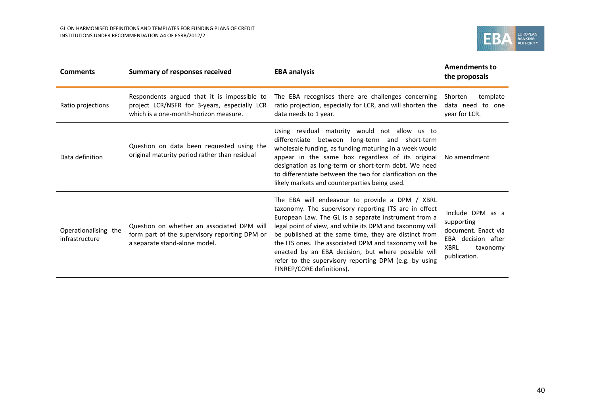

| <b>Comments</b>                        | Summary of responses received                                                                                                        | <b>EBA analysis</b>                                                                                                                                                                                                                                                                                                                                                                                                                                                                        | <b>Amendments to</b><br>the proposals                                                                                  |
|----------------------------------------|--------------------------------------------------------------------------------------------------------------------------------------|--------------------------------------------------------------------------------------------------------------------------------------------------------------------------------------------------------------------------------------------------------------------------------------------------------------------------------------------------------------------------------------------------------------------------------------------------------------------------------------------|------------------------------------------------------------------------------------------------------------------------|
| Ratio projections                      | Respondents argued that it is impossible to<br>project LCR/NSFR for 3-years, especially LCR<br>which is a one-month-horizon measure. | The EBA recognises there are challenges concerning<br>ratio projection, especially for LCR, and will shorten the<br>data needs to 1 year.                                                                                                                                                                                                                                                                                                                                                  | template<br>Shorten<br>data need<br>to one<br>year for LCR.                                                            |
| Data definition                        | Question on data been requested using the<br>original maturity period rather than residual                                           | Using residual maturity would not allow us to<br>differentiate between long-term and short-term<br>wholesale funding, as funding maturing in a week would<br>appear in the same box regardless of its original<br>designation as long-term or short-term debt. We need<br>to differentiate between the two for clarification on the<br>likely markets and counterparties being used.                                                                                                       | No amendment                                                                                                           |
| Operationalising the<br>infrastructure | Question on whether an associated DPM will<br>form part of the supervisory reporting DPM or<br>a separate stand-alone model.         | The EBA will endeavour to provide a DPM / XBRL<br>taxonomy. The supervisory reporting ITS are in effect<br>European Law. The GL is a separate instrument from a<br>legal point of view, and while its DPM and taxonomy will<br>be published at the same time, they are distinct from<br>the ITS ones. The associated DPM and taxonomy will be<br>enacted by an EBA decision, but where possible will<br>refer to the supervisory reporting DPM (e.g. by using<br>FINREP/CORE definitions). | Include DPM as a<br>supporting<br>document. Enact via<br>EBA decision after<br><b>XBRL</b><br>taxonomy<br>publication. |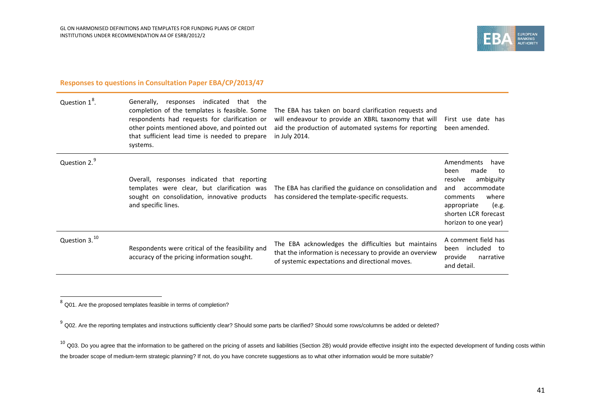<span id="page-40-2"></span><span id="page-40-1"></span><span id="page-40-0"></span>

**Responses to questions in Consultation Paper EBA/CP/2013/47**

| Question $1^8$ . | indicated<br>Generally,<br>responses<br>that the<br>completion of the templates is feasible. Some<br>respondents had requests for clarification or<br>other points mentioned above, and pointed out<br>that sufficient lead time is needed to prepare<br>systems. | The EBA has taken on board clarification requests and<br>will endeavour to provide an XBRL taxonomy that will<br>aid the production of automated systems for reporting<br>in July 2014. | First use date has<br>been amended.                                                                                                                                                 |
|------------------|-------------------------------------------------------------------------------------------------------------------------------------------------------------------------------------------------------------------------------------------------------------------|-----------------------------------------------------------------------------------------------------------------------------------------------------------------------------------------|-------------------------------------------------------------------------------------------------------------------------------------------------------------------------------------|
| Question 2.      | Overall, responses indicated that reporting<br>templates were clear, but clarification was<br>sought on consolidation, innovative products<br>and specific lines.                                                                                                 | The EBA has clarified the guidance on consolidation and<br>has considered the template-specific requests.                                                                               | Amendments<br>have<br>made<br>been<br>to<br>ambiguity<br>resolve<br>accommodate<br>and<br>where<br>comments<br>(e.g.<br>appropriate<br>shorten LCR forecast<br>horizon to one year) |
| Question 3.10    | Respondents were critical of the feasibility and<br>accuracy of the pricing information sought.                                                                                                                                                                   | The EBA acknowledges the difficulties but maintains<br>that the information is necessary to provide an overview<br>of systemic expectations and directional moves.                      | A comment field has<br>included to<br>been<br>provide<br>narrative<br>and detail.                                                                                                   |

<sup>8</sup> Q01. Are the proposed templates feasible in terms of completion?

 $\overline{a}$ 

 $9$  Q02. Are the reporting templates and instructions sufficiently clear? Should some parts be clarified? Should some rows/columns be added or deleted?

<sup>10</sup> Q03. Do you agree that the information to be gathered on the pricing of assets and liabilities (Section 2B) would provide effective insight into the expected development of funding costs within the broader scope of medium-term strategic planning? If not, do you have concrete suggestions as to what other information would be more suitable?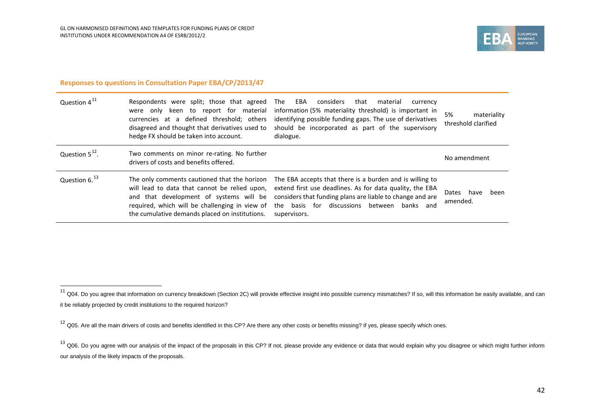<span id="page-41-2"></span><span id="page-41-1"></span><span id="page-41-0"></span>

#### **Responses to questions in Consultation Paper EBA/CP/2013/47**

 $\overline{a}$ 

| Question 4 <sup>11</sup>  | Respondents were split; those that agreed<br>were only keen to report for material<br>currencies at a defined threshold; others<br>disagreed and thought that derivatives used to<br>hedge FX should be taken into account.                  | The EBA considers<br>that<br>material<br>currency<br>information (5% materiality threshold) is important in<br>identifying possible funding gaps. The use of derivatives<br>should be incorporated as part of the supervisory<br>dialogue.                   | 5%<br>materiality<br>threshold clarified |
|---------------------------|----------------------------------------------------------------------------------------------------------------------------------------------------------------------------------------------------------------------------------------------|--------------------------------------------------------------------------------------------------------------------------------------------------------------------------------------------------------------------------------------------------------------|------------------------------------------|
| Question $5^{12}$ .       | Two comments on minor re-rating. No further<br>drivers of costs and benefits offered.                                                                                                                                                        |                                                                                                                                                                                                                                                              | No amendment                             |
| Question 6. <sup>13</sup> | The only comments cautioned that the horizon<br>will lead to data that cannot be relied upon,<br>and that development of systems will be<br>required, which will be challenging in view of<br>the cumulative demands placed on institutions. | The EBA accepts that there is a burden and is willing to<br>extend first use deadlines. As for data quality, the EBA<br>considers that funding plans are liable to change and are<br>discussions<br>the basis<br>for<br>between<br>banks and<br>supervisors. | Dates<br>been<br>have<br>amended.        |

<sup>&</sup>lt;sup>11</sup> Q04. Do you agree that information on currency breakdown (Section 2C) will provide effective insight into possible currency mismatches? If so, will this information be easily available, and can it be reliably projected by credit institutions to the required horizon?

<sup>&</sup>lt;sup>12</sup> Q05. Are all the main drivers of costs and benefits identified in this CP? Are there any other costs or benefits missing? If yes, please specify which ones.

<sup>&</sup>lt;sup>13</sup> Q06. Do you agree with our analysis of the impact of the proposals in this CP? If not, please provide any evidence or data that would explain why you disagree or which might further inform our analysis of the likely impacts of the proposals.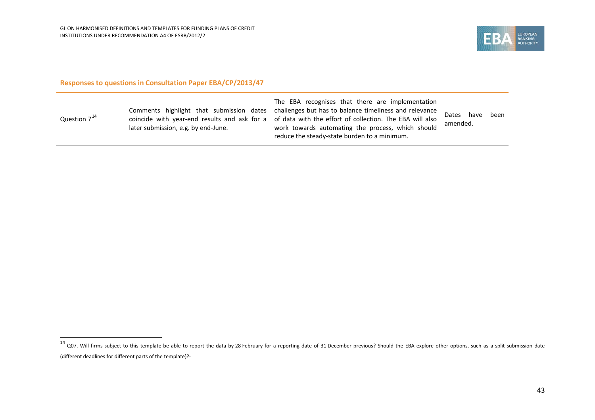<span id="page-42-0"></span>

#### **Responses to questions in Consultation Paper EBA/CP/2013/47**

 $\overline{a}$ 

| Question $7^{14}$ | later submission, e.g. by end-June. | The EBA recognises that there are implementation<br>Comments highlight that submission dates challenges but has to balance timeliness and relevance<br>coincide with year-end results and ask for a of data with the effort of collection. The EBA will also<br>work towards automating the process, which should<br>reduce the steady-state burden to a minimum. | Dates have<br>amended. | been |
|-------------------|-------------------------------------|-------------------------------------------------------------------------------------------------------------------------------------------------------------------------------------------------------------------------------------------------------------------------------------------------------------------------------------------------------------------|------------------------|------|
|-------------------|-------------------------------------|-------------------------------------------------------------------------------------------------------------------------------------------------------------------------------------------------------------------------------------------------------------------------------------------------------------------------------------------------------------------|------------------------|------|

 $14$  Q07. Will firms subject to this template be able to report the data by 28 February for a reporting date of 31 December previous? Should the EBA explore other options, such as a split submission date (different deadlines for different parts of the template)?-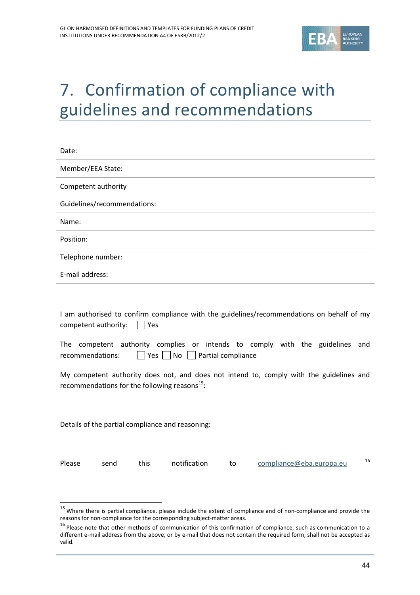

## 7. Confirmation of compliance with guidelines and recommendations

| Date:                                                                                                                    |
|--------------------------------------------------------------------------------------------------------------------------|
| Member/EEA State:                                                                                                        |
| Competent authority                                                                                                      |
| Guidelines/recommendations:                                                                                              |
| Name:                                                                                                                    |
| Position:                                                                                                                |
| Telephone number:                                                                                                        |
| E-mail address:                                                                                                          |
|                                                                                                                          |
| I am authorised to confirm compliance with the guidelines/recommendations on behalf of my<br>competent authority:<br>Yes |

| The competent authority complies or intends to comply with the guidelines and |                                                |  |  |  |  |
|-------------------------------------------------------------------------------|------------------------------------------------|--|--|--|--|
| recommendations:                                                              | $\Box$ Yes $\Box$ No $\Box$ Partial compliance |  |  |  |  |

My competent authority does not, and does not intend to, comply with the guidelines and recommendations for the following reasons $^{15}$  $^{15}$  $^{15}$ :

Details of the partial compliance and reasoning:

Please send this notification to [compliance@eba.europa.eu](mailto:compliance@eba.europa.eu)  $^{16}$  $^{16}$  $^{16}$ 

<span id="page-43-0"></span><sup>15&</sup>lt;br><sup>15</sup> Where there is partial compliance, please include the extent of compliance and of non-compliance and provide the reasons for non-compliance for the corresponding subject-matter areas.

<span id="page-43-1"></span> $16$  Please note that other methods of communication of this confirmation of compliance, such as communication to a different e-mail address from the above, or by e-mail that does not contain the required form, shall not be accepted as valid.